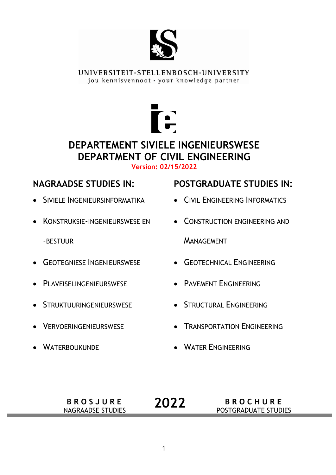

UNIVERSITEIT·STELLENBOSCH·UNIVERSITY jou kennisvennoot · your knowledge partner



### **DEPARTEMENT SIVIELE INGENIEURSWESE DEPARTMENT OF CIVIL ENGINEERING Version: 02/15/2022**

- **SIVIELE INGENIEURSINFORMATIKA**
- **KONSTRUKSIE-INGENIEURSWESE EN** 
	- -BESTUUR
- **GEOTEGNIESE INGENIEURSWESE**
- **•** PLAVEISELINGENIEURSWESE
- **STRUKTUURINGENIEURSWESE**
- **VERVOERINGENIEURSWESE**
- WATERBOUKUNDE

## **NAGRAADSE STUDIES IN: POSTGRADUATE STUDIES IN:**

- **CIVIL ENGINEERING INFORMATICS**
- **CONSTRUCTION ENGINEERING AND MANAGEMENT**
- **GEOTECHNICAL ENGINEERING**
- **PAVEMENT ENGINEERING**
- **STRUCTURAL ENGINEERING**
- **TRANSPORTATION ENGINEERING**
- **WATER ENGINEERING**
- **B R O S J U R E**  NAGRAADSE STUDIES **B R O C H U R E 2022 BROCHURE POSTGRADUATE STUDIES**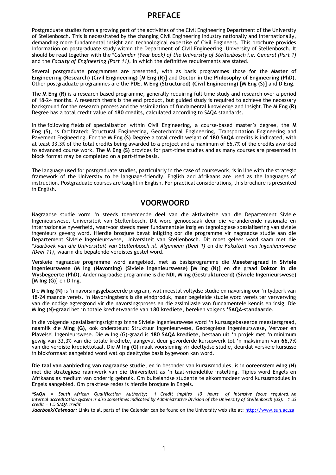#### **PREFACE**

Postgraduate studies form a growing part of the activities of the Civil Engineering Department of the University of Stellenbosch. This is necessitated by the changing Civil Engineering Industry nationally and internationally, demanding more fundamental insight and technological expertise of Civil Engineers. This brochure provides information on postgraduate study within the Department of Civil Engineering, University of Stellenbosch. It should be read together with the \**Calendar (Year book) of the University of Stellenbosch i.e. General (Part 1)*  and the *Faculty of Engineering (Part 11)*, in which the definitive requirements are stated.

Several postgraduate programmes are presented, with as basis programmes those for the **Master of Engineering (Research) (Civil Engineering) [M Eng (R)]** and **Doctor in the Philosophy of Engineering (PhD)**. Other postgraduate programmes are the **PDE**, **M Eng (Structured) (Civil Engineering) [M Eng (S)]** and **D Eng**.

The **M Eng (R)** is a research based programme, generally requiring full-time study and research over a period of 18-24 months. A research thesis is the end product, but guided study is required to achieve the necessary background for the research process and the assimilation of fundamental knowledge and insight.The **M Eng (R)**  Degree has a total credit value of **180 credits**, calculated according to SAQA standards.

In the following fields of specialisation within Civil Engineering, a course-based master's degree, the **M Eng (S)**, is facilitated: Structural Engineering, Geotechnical Engineering, Transportation Engineering and Pavement Engineering. For the **M Eng (S) Degree** a total credit weight of **180 SAQA credits** is indicated, with at least 33,3% of the total credits being awarded to a project and a maximum of 66,7% of the credits awarded to advanced course work. The **M Eng (S)** provides for part-time studies and as many courses are presented in block format may be completed on a part-time basis.

The language used for postgraduate studies, particularly in the case of coursework, is in line with the strategic framework of the University to be language-friendly. English and Afrikaans are used as the languages of instruction. Postgraduate courses are taught in English. For practical considerations, this brochure is presented in English.

#### **VOORWOORD**

Nagraadse studie vorm 'n steeds toenemende deel van die aktiwiteite van die Departement Siviele Ingenieurswese, Universiteit van Stellenbosch. Dit word genoodsaak deur die veranderende nasionale en internasionale nywerheid, waarvoor steeds meer fundamentele insig en tegnologiese spesialisering van siviele ingenieurs geverg word. Hierdie brosjure bevat inligting oor die programme vir nagraadse studie aan die Departement Siviele Ingenieurswese, Universiteit van Stellenbosch. Dit moet gelees word saam met die \**Jaarboek van die Universiteit van Stellenbosch nl. Algemeen (Deel 1)* en die *Fakulteit van Ingenieurswese (Deel 11)*, waarin die bepalende vereistes gestel word.

Verskeie nagraadse programme word aangebied, met as basisprogramme die **Meestersgraad in Siviele Ingenieurswese (M Ing (Navorsing) (Siviele Ingenieurswese) [M Ing (N)]** en die graad **Doktor in die Wysbegeerte (PhD)**. Ander nagraadse programme is die **NDI, M Ing (Gestruktureerd) (Siviele Ingenieurswese)**  [**M Ing (G)**] en **D Ing**.

Die **M Ing (N)** is 'n navorsingsgebaseerde program, wat meestal voltydse studie en navorsing oor 'n tydperk van 18-24 maande vereis. 'n Navorsingstesis is die eindproduk, maar begeleide studie word vereis ter verwerwing van die nodige agtergrond vir die navorsingsproses en die assimilasie van fundamentele kennis en insig. Die **M Ing (N)-graad** het 'n totale kredietwaarde van **180 krediete**, bereken volgens **\*SAQA-standaarde**.

In die volgende spesialiseringsrigtings binne Siviele Ingenieurswese word 'n kursusgebaseerde meestersgraad, naamlik die **MIng (G)**, ook ondersteun: Struktuur Ingenieurwese, Geotegniese Ingenieurswese, Vervoer en Plaveisel Ingenieurswese. Die M Ing (G)-graad is **180 SAQA krediete**, bestaan uit 'n projek met 'n minimum gewig van 33,3% van die totale krediete, aangevul deur gevorderde kursuswerk tot 'n maksimum van **66,7%**  van die vereiste krediettotaal. Die **M Ing (G)** maak voorsiening vir deeltydse studie, deurdat verskeie kursusse in blokformaat aangebied word wat op deeltydse basis bygewoon kan word.

**Die taal van aanbieding van nagraadse studie**, en in besonder van kursusmodules, is in ooreenstem MIng (N) met die strategiese raamwerk van die Universiteit as 'n taal-vriendelike instelling. Tipies word Engels en Afrikaans as medium van onderrig gebruik. Om buitelandse studente te akkommodeer word kursusmodules in Engels aangebied. Om praktiese redes is hierdie brosjure in Engels.

*\*SAQA = South African Qualification Authority; 1 Credit implies 10 hours of intensive focus required. An internal accreditation system is also sometimes indicated by Administrative Division of the University of Stellenbosch (US): 1 US credit = 1.5 SAQA credit* 

Jaarboek/Calendar: Links to all parts of the Calendar can be found on the University web site at: http://www.sun.ac.za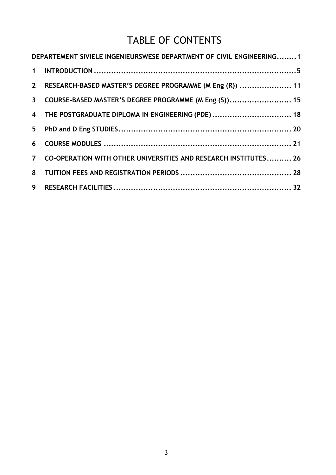## TABLE OF CONTENTS

| DEPARTEMENT SIVIELE INGENIEURSWESE DEPARTMENT OF CIVIL ENGINEERING1 |  |
|---------------------------------------------------------------------|--|
|                                                                     |  |
| 2 RESEARCH-BASED MASTER'S DEGREE PROGRAMME (M Eng (R))  11          |  |
| 3 COURSE-BASED MASTER'S DEGREE PROGRAMME (M Eng (S)) 15             |  |
| 4 THE POSTGRADUATE DIPLOMA IN ENGINEERING (PDE)  18                 |  |
|                                                                     |  |
|                                                                     |  |
| 7 CO-OPERATION WITH OTHER UNIVERSITIES AND RESEARCH INSTITUTES 26   |  |
|                                                                     |  |
|                                                                     |  |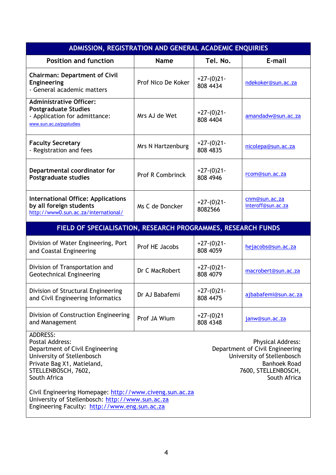| ADMISSION, REGISTRATION AND GENERAL ACADEMIC ENQUIRIES                                                                                                                                                                                                                                                                                     |                         |                          |                                     |  |  |
|--------------------------------------------------------------------------------------------------------------------------------------------------------------------------------------------------------------------------------------------------------------------------------------------------------------------------------------------|-------------------------|--------------------------|-------------------------------------|--|--|
| <b>Position and function</b>                                                                                                                                                                                                                                                                                                               | <b>Name</b>             | Tel. No.                 | E-mail                              |  |  |
| <b>Chairman: Department of Civil</b><br><b>Engineering</b><br>- General academic matters                                                                                                                                                                                                                                                   | Prof Nico De Koker      | $+27-(0)21-$<br>808 4434 | ndekoker@sun.ac.za                  |  |  |
| <b>Administrative Officer:</b><br><b>Postgraduate Studies</b><br>- Application for admittance:<br>www.sun.ac.za/pgstudies                                                                                                                                                                                                                  | Mrs AJ de Wet           | $+27-(0)21-$<br>808 4404 | amandadw@sun.ac.za                  |  |  |
| <b>Faculty Secretary</b><br>- Registration and fees                                                                                                                                                                                                                                                                                        | Mrs N Hartzenburg       | $+27-(0)21-$<br>808 4835 | nicolepa@sun.ac.za                  |  |  |
| Departmental coordinator for<br><b>Postgraduate studies</b>                                                                                                                                                                                                                                                                                | <b>Prof R Combrinck</b> | $+27-(0)21-$<br>808 4946 | rcom@sun.ac.za                      |  |  |
| <b>International Office: Applications</b><br>by all foreign students<br>http://www0.sun.ac.za/international/                                                                                                                                                                                                                               | Ms C de Doncker         | $+27-(0)21-$<br>8082566  | cnm@sun.ac.za<br>interoff@sun.ac.za |  |  |
| FIELD OF SPECIALISATION, RESEARCH PROGRAMMES, RESEARCH FUNDS                                                                                                                                                                                                                                                                               |                         |                          |                                     |  |  |
| Division of Water Engineering, Port<br>and Coastal Engineering                                                                                                                                                                                                                                                                             | Prof HE Jacobs          | $+27-(0)21-$<br>808 4059 | hejacobs@sun.ac.za                  |  |  |
| Division of Transportation and<br><b>Geotechnical Engineering</b>                                                                                                                                                                                                                                                                          | Dr C MacRobert          | $+27-(0)21-$<br>808 4079 | macrobert@sun.ac.za                 |  |  |
| Division of Structural Engineering<br>and Civil Engineering Informatics                                                                                                                                                                                                                                                                    | Dr AJ Babafemi          | $+27-(0)21-$<br>808 4475 | ajbabafemi@sun.ac.za                |  |  |
| Division of Construction Engineering<br>and Management                                                                                                                                                                                                                                                                                     | Prof JA Wium            | $+27-(0)21$<br>808 4348  | janw@sun.ac.za                      |  |  |
| <b>ADDRESS:</b><br><b>Postal Address:</b><br><b>Physical Address:</b><br>Department of Civil Engineering<br>Department of Civil Engineering<br>University of Stellenbosch<br>University of Stellenbosch<br>Private Bag X1, Matieland,<br><b>Banhoek Road</b><br>STELLENBOSCH, 7602,<br>7600, STELLENBOSCH,<br>South Africa<br>South Africa |                         |                          |                                     |  |  |
| Civil Engineering Homepage: http://www.civeng.sun.ac.za<br>University of Stellenbosch: http://www.sun.ac.za<br>Engineering Faculty: http://www.eng.sun.ac.za                                                                                                                                                                               |                         |                          |                                     |  |  |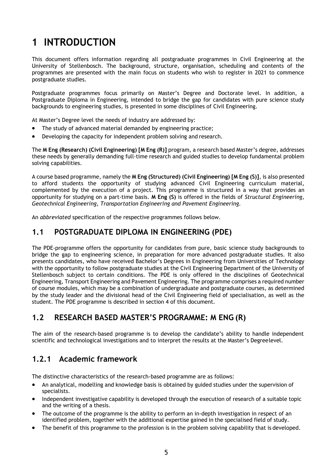# **1 INTRODUCTION**

This document offers information regarding all postgraduate programmes in Civil Engineering at the University of Stellenbosch. The background, structure, organisation, scheduling and contents of the programmes are presented with the main focus on students who wish to register in 2021 to commence postgraduate studies.

Postgraduate programmes focus primarily on Master's Degree and Doctorate level. In addition, a Postgraduate Diploma in Engineering, intended to bridge the gap for candidates with pure science study backgrounds to engineering studies, is presented in some disciplines of Civil Engineering.

At Master's Degree level the needs of industry are addressed by:

- The study of advanced material demanded by engineering practice;
- Developing the capacity for independent problem solving and research.

The **M Eng (Research) (Civil Engineering) [M Eng (R)]** program, a research based Master's degree, addresses these needs by generally demanding full-time research and guided studies to develop fundamental problem solving capabilities.

A course based programme, namely the **M Eng (Structured) (Civil Engineering) [M Eng (S)]**, is also presented to afford students the opportunity of studying advanced Civil Engineering curriculum material, complemented by the execution of a project. This programme is structured in a way that provides an opportunity for studying on a part-time basis. **M Eng (S)** is offered in the fields of *Structural Engineering, Geotechnical Engineering*, *Transportation Engineering and Pavement Engineering.* 

An *abbreviated* specification of the respective programmes follows below.

#### **1.1 POSTGRADUATE DIPLOMA IN ENGINEERING (PDE)**

The PDE-programme offers the opportunity for candidates from pure, basic science study backgrounds to bridge the gap to engineering science, in preparation for more advanced postgraduate studies. It also presents candidates, who have received Bachelor's Degrees in Engineering from Universities of Technology with the opportunity to follow postgraduate studies at the Civil Engineering Department of the University of Stellenbosch subject to certain conditions. The PDE is only offered in the disciplines of Geotechnical Engineering, Transport Engineering and Pavement Engineering. The programme comprises a required number of course modules, which may be a combination of undergraduate and postgraduate courses, as determined by the study leader and the divisional head of the Civil Engineering field of specialisation, as well as the student. The PDE programme is described in section 4 of this document.

#### **1.2 RESEARCH BASED MASTER'S PROGRAMME: M ENG (R)**

The aim of the research-based programme is to develop the candidate's ability to handle independent scientific and technological investigations and to interpret the results at the Master's Degree level.

#### **1.2.1 Academic framework**

The distinctive characteristics of the research-based programme are as follows:

- An analytical, modelling and knowledge basis is obtained by guided studies under the supervision of specialists.
- Independent investigative capability is developed through the execution of research of a suitable topic and the writing of a thesis.
- The outcome of the programme is the ability to perform an in-depth investigation in respect of an identified problem, together with the additional expertise gained in the specialised field of study.
- The benefit of this programme to the profession is in the problem solving capability that is developed.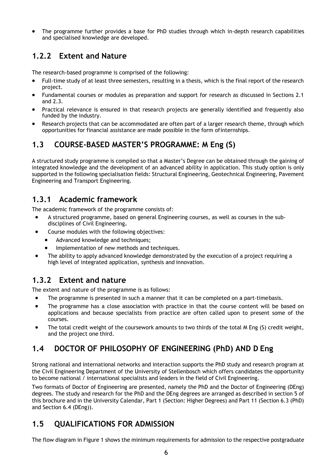The programme further provides a base for PhD studies through which in-depth research capabilities and specialised knowledge are developed.

### **1.2.2 Extent and Nature**

The research-based programme is comprised of the following:

- Full-time study of at least three semesters, resulting in a thesis, which is the final report of the research project.
- Fundamental courses or modules as preparation and support for research as discussed in Sections 2.1 and 2.3.
- Practical relevance is ensured in that research projects are generally identified and frequently also funded by the industry.
- Research projects that can be accommodated are often part of a larger research theme, through which opportunities for financial assistance are made possible in the form of internships.

### **1.3 COURSE-BASED MASTER'S PROGRAMME: M Eng (S)**

A structured study programme is compiled so that a Master's Degree can be obtained through the gaining of integrated knowledge and the development of an advanced ability in application. This study option is only supported in the following specialisation fields: Structural Engineering, Geotechnical Engineering, Pavement Engineering and Transport Engineering.

#### **1.3.1 Academic framework**

The academic framework of the programme consists of:

- A structured programme, based on general Engineering courses, as well as courses in the subdisciplines of Civil Engineering**.**
- Course modules with the following objectives:
	- Advanced knowledge and techniques;
	- Implementation of new methods and techniques.
- The ability to apply advanced knowledge demonstrated by the execution of a project requiring a high level of integrated application, synthesis and innovation.

### **1.3.2 Extent and nature**

The extent and nature of the programme is as follows:

- The programme is presented in such a manner that it can be completed on a part-time basis.
- The programme has a close association with practice in that the course content will be based on applications and because specialists from practice are often called upon to present some of the courses.
- The total credit weight of the coursework amounts to two thirds of the total M Eng (S) credit weight, and the project one third.

### **1.4 DOCTOR OF PHILOSOPHY OF ENGINEERING (PhD) AND D Eng**

Strong national and international networks and interaction supports the PhD study and research program at the Civil Engineering Department of the University of Stellenbosch which offers candidates the opportunity to become national / international specialists and leaders in the field of Civil Engineering.

Two formats of Doctor of Engineering are presented, namely the PhD and the Doctor of Engineering (DEng) degrees. The study and research for the PhD and the DEng degrees are arranged as described in section 5 of this brochure and in the University Calendar, Part 1 (Section: Higher Degrees) and Part 11 (Section 6.3 (PhD) and Section 6.4 (DEng)).

### **1.5 QUALIFICATIONS FOR ADMISSION**

The flow diagram in Figure 1 shows the minimum requirements for admission to the respective postgraduate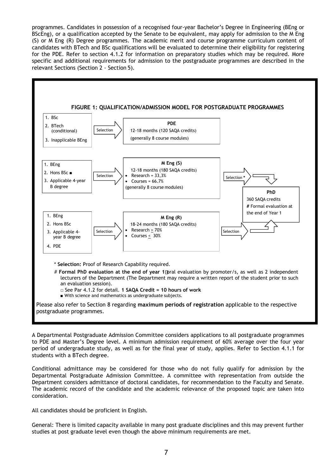programmes. Candidates in possession of a recognised four-year Bachelor's Degree in Engineering (BEng or BScEng), or a qualification accepted by the Senate to be equivalent, may apply for admission to the M Eng (S) or M Eng (R) Degree programmes. The academic merit and course programme curriculum content of candidates with BTech and BSc qualifications will be evaluated to determine their eligibility for registering for the PDE. Refer to section 4.1.2 for information on preparatory studies which may be required. More specific and additional requirements for admission to the postgraduate programmes are described in the relevant Sections (Section 2 - Section 5)*.* 



A Departmental Postgraduate Admission Committee considers applications to all postgraduate programmes to PDE and Master's Degree level. A minimum admission requirement of 60% average over the four year period of undergraduate study, as well as for the final year of study, applies. Refer to Section 4.1.1 for students with a BTech degree.

Conditional admittance may be considered for those who do not fully qualify for admission by the Departmental Postgraduate Admission Committee. A committee with representation from outside the Department considers admittance of doctoral candidates, for recommendation to the Faculty and Senate. The academic record of the candidate and the academic relevance of the proposed topic are taken into consideration.

All candidates should be proficient in English.

General: There is limited capacity available in many post graduate disciplines and this may prevent further studies at post graduate level even though the above minimum requirements are met.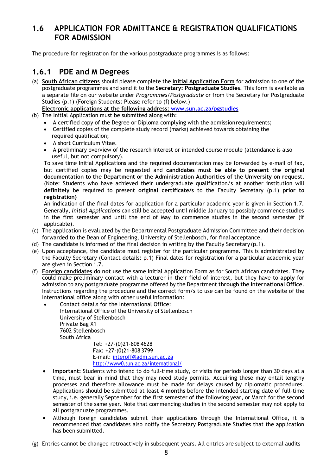#### **1.6 APPLICATION FOR ADMITTANCE & REGISTRATION QUALIFICATIONS FOR ADMISSION**

The procedure for registration for the various postgraduate programmes is as follows:

#### **1.6.1 PDE and M Degrees**

- (a) **South African citizens** should please complete the **Initial Application Form** for admission to one of the postgraduate programmes and send it to the **Secretary: Postgraduate Studies**. This form is available as a separate file on our website under *Programmes/Postgraduate* or from the Secretary for Postgraduate Studies (p.1) (Foreign Students: Please refer to (f) below.)
	- **Electronic applications at the following address: www.sun.ac.za/pgstudies**
- (b) The Initial Application must be submitted along with:
	- A certified copy of the Degree or Diploma complying with the admission requirements;
	- Certified copies of the complete study record (marks) achieved towards obtaining the required qualification;
	- A short Curriculum Vitae.
	- A preliminary overview of the research interest or intended course module (attendance is also useful, but not compulsory).

To save time Initial Applications and the required documentation may be forwarded by e-mail of fax, but certified copies may be requested and **candidates must be able to present the original documentation to the Department or the Administration Authorities of the University on request.**  (Note: Students who have achieved their undergraduate qualification/s at another institution will **definitely** be required to present **original certificate/s** to the Faculty Secretary (p.1) **prior to registration)**

An indication of the final dates for application for a particular academic year is given in Section 1.7. Generally, *Initial Applications* can still be accepted until middle January to possibly commence studies in the first semester and until the end of May to commence studies in the second semester (if applicable).

- (c) The application is evaluated by the Departmental Postgraduate Admission Committee and their decision forwarded to the Dean of Engineering, University of Stellenbosch, for final acceptance.
- (d) The candidate is informed of the final decision in writing by the Faculty Secretary  $(p.1)$ .
- (e) Upon acceptance, the candidate must register for the particular programme. This is administrated by the Faculty Secretary (Contact details: p.1) Final dates for registration for a particular academic year are given in Section 1.7.
- (f) **Foreign candidates do not** use the same Initial Application Form as for South African candidates. They could make preliminary contact with a lecturer in their field of interest, but they have to **apply** for admission to any postgraduate programme offered by the Department **through the International Office**. Instructions regarding the procedure and the correct form/s to use can be found on the website of the International office along with other useful information:
	- Contact details for the International Office: International Office of the University of Stellenbosch University of Stellenbosch Private Bag X1 7602 Stellenbosch South Africa

Tel: +27-(0)21-808 4628 Fax: +27-(0)21-808 3799 E-mail: interoff@adm.sun.ac.za http://www0.sun.ac.za/international/

- **Important:** Students who intend to do full-time study, or visits for periods longer than 30 days at a time, must bear in mind that they may need study permits. Acquiring these may entail lengthy processes and therefore allowance must be made for delays caused by diplomatic procedures. Applications should be submitted at least **4 months** before the intended starting date of full-time study, i.e. generally September for the first semester of the following year, or March for the second semester of the same year. Note that commencing studies in the second semester may not apply to all postgraduate programmes.
- Although foreign candidates submit their applications through the International Office, it is recommended that candidates also notify the Secretary Postgraduate Studies that the application has been submitted.
- (g) Entries cannot be changed retroactively in subsequent years. All entries are subject to external audits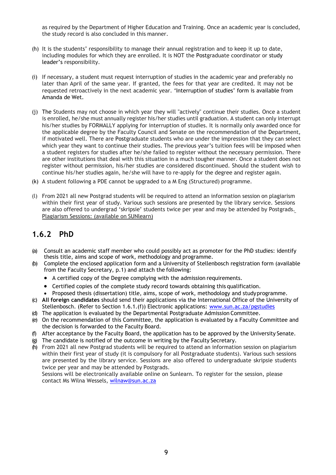as required by the Department of Higher Education and Training. Once an academic year is concluded, the study record is also concluded in this manner.

- (h) It is the students' responsibility to manage their annual registration and to keep it up to date, including modules for which they are enrolled. It is NOT the Postgraduate coordinator or study leader's responsibility.
- (i) If necessary, a student must request interruption of studies in the academic year and preferably no later than April of the same year. If granted, the fees for that year are credited. It may not be requested retroactively in the next academic year. 'Interruption of studies' form is available from Amanda de Wet.
- (j) The Students may not choose in which year they will "actively" continue their studies. Once a student is enrolled, he/she must annually register his/her studies until graduation. A student can only interrupt his/her studies by FORMALLY applying for interruption of studies. It is normally only awarded once for the applicable degree by the Faculty Council and Senate on the recommendation of the Department, if motivated well. There are Postgraduate students who are under the impression that they can select which year they want to continue their studies. The previous year's tuition fees will be imposed when a student registers for studies after he/she failed to register without the necessary permission. There are other institutions that deal with this situation in a much tougher manner. Once a student does not register without permission, his/her studies are considered discontinued. Should the student wish to continue his/her studies again, he/she will have to re-apply for the degree and register again.
- (k) A student following a PDE cannot be upgraded to a M Eng (Structured) programme.
- (l) From 2021 all new Postgrad students will be required to attend an information session on plagiarism within their first year of study. Various such sessions are presented by the library service. Sessions are also offered to undergrad 'skripsie' students twice per year and may be attended by Postgrads. Plagiarism Sessions: (available on SUNlearn)

#### **1.6.2 PhD**

- (a) Consult an academic staff member who could possibly act as promoter for the PhD studies: identify thesis title, aims and scope of work, methodology and programme.
- (b) Complete the enclosed application form and a University of Stellenbosch registration form (available from the Faculty Secretary, p.1) and attach the following:
	- A certified copy of the Degree complying with the admission requirements.
	- Certified copies of the complete study record towards obtaining this qualification.
	- Proposed thesis (dissertation) title, aims, scope of work, methodology and study programme.
- (c) **All foreign candidates** should send their applications via the International Office of the University of Stellenbosch. (Refer to Section 1.6.1.(f)) Electronic applications: www.sun.ac.za/pgstudies
- (d) The application is evaluated by the Departmental Postgraduate Admission Committee.
- (e) On the recommendation of this Committee, the application is evaluated by a Faculty Committee and the decision is forwarded to the Faculty Board.
- (f) After acceptance by the Faculty Board, the application has to be approved by the University Senate.
- (g) The candidate is notified of the outcome in writing by the Faculty Secretary.
- (h) From 2021 all new Postgrad students will be required to attend an information session on plagiarism within their first year of study (it is compulsory for all Postgraduate students). Various such sessions are presented by the library service. Sessions are also offered to undergraduate skripsie students twice per year and may be attended by Postgrads.

Sessions will be electronically available online on Sunlearn. To register for the session, please contact Ms Wilna Wessels, wilnaw@sun.ac.za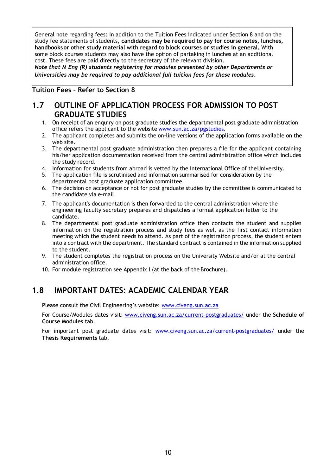General note regarding fees: In addition to the Tuition Fees indicated under Section 8 and on the study fee statements of students, **candidates may be required to pay for course notes, lunches, handbooks or other study material with regard to block courses or studies in general.** With some block courses students may also have the option of partaking in lunches at an additional cost. These fees are paid directly to the secretary of the relevant division.

*Note that M Eng (R) students registering for modules presented by other Departments or Universities may be required to pay additional full tuition fees for these modules.* 

#### **Tuition Fees – Refer to Section 8**

#### **1.7 OUTLINE OF APPLICATION PROCESS FOR ADMISSION TO POST GRADUATE STUDIES**

- 1. On receipt of an enquiry on post graduate studies the departmental post graduate administration office refers the applicant to the website www.sun.ac.za/pgstudies.
- 2. The applicant completes and submits the on-line versions of the application forms available on the web site.
- 3. The departmental post graduate administration then prepares a file for the applicant containing his/her application documentation received from the central administration office which includes the study record.
- 4. Information for students from abroad is vetted by the International Office of the University.
- 5. The application file is scrutinised and information summarised for consideration by the departmental post graduate application committee.
- 6. The decision on acceptance or not for post graduate studies by the committee is communicated to the candidate via e-mail.
- 7. The applicant's documentation is then forwarded to the central administration where the engineering faculty secretary prepares and dispatches a formal application letter to the candidate.
- 8. The departmental post graduate administration office then contacts the student and supplies information on the registration process and study fees as well as the first contact information meeting which the student needs to attend. As part of the registration process, the student enters into a contract with the department. The standard contract is contained in the information supplied to the student.
- 9. The student completes the registration process on the University Website and/or at the central administration office.
- 10. For module registration see Appendix I (at the back of the Brochure).

#### **1.8 IMPORTANT DATES: ACADEMIC CALENDAR YEAR**

Please consult the Civil Engineering's website: www.civeng.sun.ac.za

For Course/Modules dates visit: www.civeng.sun.ac.za/current-postgraduates/ under the **Schedule of Course Modules** tab.

For important post graduate dates visit: www.civeng.sun.ac.za/current-postgraduates/ under the **Thesis Requirements** tab.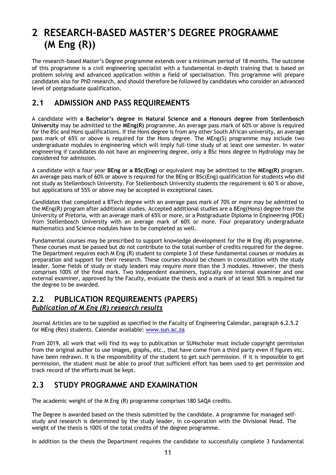## **2 RESEARCH-BASED MASTER'S DEGREE PROGRAMME (M Eng (R))**

The research-based Master's Degree programme extends over a minimum period of 18 months. The outcome of this programme is a civil engineering specialist with a fundamental in-depth training that is based on problem solving and advanced application within a field of specialisation. This programme will prepare candidates also for PhD research, and should therefore be followed by candidates who consider an advanced level of postgraduate qualification.

#### **2.1 ADMISSION AND PASS REQUIREMENTS**

A candidate with **a Bachelor's degree in Natural Science and a Honours degree from Stellenbosch University** may be admitted to the **MEng(R)** programme. An average pass mark of 60% or above is required for the BSc and Hons qualifications. If the Hons degree is from any other South African university, an average pass mark of 65% or above is required for the Hons degree. The MEng(S) programme may include two undergraduate modules in engineering which will imply full-time study of at least one semester. In water engineering if candidates do not have an engineering degree, only a BSc Hons degree in Hydrology may be considered for admission.

A candidate with a four year **BEng or a BSc(Eng)** or equivalent may be admitted to the **MEng(R)** program. An average pass mark of 60% or above is required for the BEng or BSc(Eng) qualification for students who did not study as Stellenbosch University. For Stellenbosch University students the requirement is 60 % or above, but applications of 55% or above may be accepted in exceptional cases.

Candidates that completed a BTech degree with an average pass mark of 70% or more may be admitted to the MEng(R) program after additional studies. Accepted additional studies are a BEng(Hons) degree from the University of Pretoria, with an average mark of 65% or more, or a Postgraduate Diploma in Engineering (PDE) from Stellenbosch University with an average mark of 60% or more. Four preparatory undergraduate Mathematics and Science modules have to be completed as well.

Fundamental courses may be prescribed to support knowledge development for the M Eng (R) programme. These courses must be passed but do not contribute to the total number of credits required for the degree. The Department requires each M Eng (R) student to complete 3 of these fundamental courses or modules as preparation and support for their research. These courses should be chosen in consultation with the study leader. Some fields of study or study leaders may require more than the 3 modules. However, the thesis comprises 100% of the final mark. Two independent examiners, typically one internal examiner and one external examiner, approved by the Faculty, evaluate the thesis and a mark of at least 50% is required for the degree to be awarded.

#### **2.2 PUBLICATION REQUIREMENTS (PAPERS)**  *Publication of M Eng (R) research results*

Journal Articles are to be supplied as specified in the Faculty of Engineering Calendar, paragraph 6.2.5.2 for MEng (Res) students. Calendar available: www.sun.ac.za

From 2019, all work that will find its way to publication or SUNscholar must include copyright permission from the original author to use images, graphs, etc., that have come from a third party even if figures etc. have been redrawn. It is the responsibility of the student to get such permission. If it is impossible to get permission, the student must be able to proof that sufficient effort has been used to get permission and track record of the efforts must be kept.

#### **2.3 STUDY PROGRAMME AND EXAMINATION**

The academic weight of the M Eng (R) programme comprises 180 SAQA credits.

The Degree is awarded based on the thesis submitted by the candidate. A programme for managed selfstudy and research is determined by the study leader, in co-operation with the Divisional Head. The weight of the thesis is 100% of the total credits of the degree programme.

In addition to the thesis the Department requires the candidate to successfully complete 3 fundamental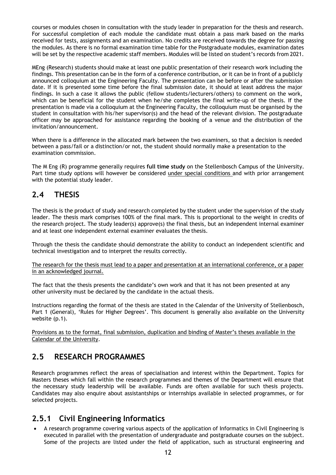courses or modules chosen in consultation with the study leader in preparation for the thesis and research. For successful completion of each module the candidate must obtain a pass mark based on the marks received for tests, assignments and an examination. No credits are received towards the degree for passing the modules. As there is no formal examination time table for the Postgraduate modules, examination dates will be set by the respective academic staff members. Modules will be listed on student's records from 2021.

MEng (Research) students should make at least one public presentation of their research work including the findings. This presentation can be in the form of a conference contribution, or it can be in front of a publicly announced colloquium at the Engineering Faculty. The presentation can be before or after the submission date. If it is presented some time before the final submission date, it should at least address the major findings. In such a case it allows the public (fellow students/lecturers/others) to comment on the work, which can be beneficial for the student when he/she completes the final write-up of the thesis. If the presentation is made via a colloquium at the Engineering Faculty, the colloquium must be organised by the student in consultation with his/her supervisor(s) and the head of the relevant division. The postgraduate officer may be approached for assistance regarding the booking of a venue and the distribution of the invitation/announcement.

When there is a difference in the allocated mark between the two examiners, so that a decision is needed between a pass/fail or a distinction/or not, the student should normally make a presentation to the examination commission.

The M Eng (R) programme generally requires **full time study** on the Stellenbosch Campus of the University. Part time study options will however be considered under special conditions and with prior arrangement with the potential study leader.

#### **2.4 THESIS**

The thesis is the product of study and research completed by the student under the supervision of the study leader. The thesis mark comprises 100% of the final mark. This is proportional to the weight in credits of the research project. The study leader(s) approve(s) the final thesis, but an independent internal examiner and at least one independent external examiner evaluates the thesis.

Through the thesis the candidate should demonstrate the ability to conduct an independent scientific and technical investigation and to interpret the results correctly.

The research for the thesis must lead to a paper and presentation at an international conference, or a paper in an acknowledged journal.

The fact that the thesis presents the candidate's own work and that it has not been presented at any other university must be declared by the candidate in the actual thesis.

Instructions regarding the format of the thesis are stated in the Calendar of the University of Stellenbosch, Part 1 (General), 'Rules for Higher Degrees'. This document is generally also available on the University website (p.1).

Provisions as to the format, final submission, duplication and binding of Master's theses available in the Calendar of the University.

#### **2.5 RESEARCH PROGRAMMES**

Research programmes reflect the areas of specialisation and interest within the Department. Topics for Masters theses which fall within the research programmes and themes of the Department will ensure that the necessary study leadership will be available. Funds are often available for such thesis projects. Candidates may also enquire about assistantships or internships available in selected programmes, or for selected projects.

#### **2.5.1 Civil Engineering Informatics**

 A research programme covering various aspects of the application of Informatics in Civil Engineering is executed in parallel with the presentation of undergraduate and postgraduate courses on the subject. Some of the projects are listed under the field of application, such as structural engineering and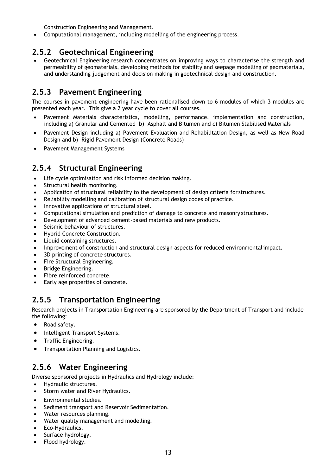Construction Engineering and Management.

Computational management, including modelling of the engineering process.

#### **2.5.2 Geotechnical Engineering**

 Geotechnical Engineering research concentrates on improving ways to characterise the strength and permeability of geomaterials, developing methods for stability and seepage modelling of geomaterials, and understanding judgement and decision making in geotechnical design and construction.

#### **2.5.3 Pavement Engineering**

The courses in pavement engineering have been rationalised down to 6 modules of which 3 modules are presented each year. This give a 2 year cycle to cover all courses.

- Pavement Materials characteristics, modelling, performance, implementation and construction, including a) Granular and Cemented b) Asphalt and Bitumen and c) Bitumen Stabilised Materials
- Pavement Design including a) Pavement Evaluation and Rehabilitation Design, as well as New Road Design and b) Rigid Pavement Design (Concrete Roads)
- Pavement Management Systems

#### **2.5.4 Structural Engineering**

- Life cycle optimisation and risk informed decision making.
- Structural health monitoring.
- Application of structural reliability to the development of design criteria for structures.
- Reliability modelling and calibration of structural design codes of practice.
- Innovative applications of structural steel.
- Computational simulation and prediction of damage to concrete and masonry structures.
- Development of advanced cement-based materials and new products.
- Seismic behaviour of structures.
- Hybrid Concrete Construction.
- Liquid containing structures.
- Improvement of construction and structural design aspects for reduced environmental impact.
- 3D printing of concrete structures.
- Fire Structural Engineering.
- Bridge Engineering.
- Fibre reinforced concrete.
- Early age properties of concrete.

#### **2.5.5 Transportation Engineering**

Research projects in Transportation Engineering are sponsored by the Department of Transport and include the following:

- Road safety.
- Intelligent Transport Systems.
- **•** Traffic Engineering.
- **•** Transportation Planning and Logistics.

#### **2.5.6 Water Engineering**

Diverse sponsored projects in Hydraulics and Hydrology include:

- Hydraulic structures.
- Storm water and River Hydraulics.
- Environmental studies.
- Sediment transport and Reservoir Sedimentation.
- Water resources planning.
- Water quality management and modelling.
- Eco-Hydraulics.
- Surface hydrology.
- Flood hydrology.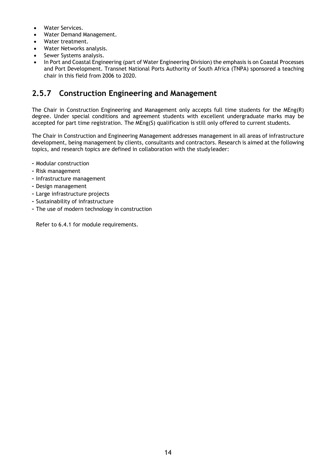- Water Services.
- Water Demand Management.
- Water treatment.
- Water Networks analysis.
- Sewer Systems analysis.
- In Port and Coastal Engineering (part of Water Engineering Division) the emphasis is on Coastal Processes and Port Development. Transnet National Ports Authority of South Africa (TNPA) sponsored a teaching chair in this field from 2006 to 2020.

#### **2.5.7 Construction Engineering and Management**

The Chair in Construction Engineering and Management only accepts full time students for the MEng(R) degree. Under special conditions and agreement students with excellent undergraduate marks may be accepted for part time registration. The MEng(S) qualification is still only offered to current students.

The Chair in Construction and Engineering Management addresses management in all areas of infrastructure development, being management by clients, consultants and contractors. Research is aimed at the following topics, and research topics are defined in collaboration with the study leader:

- Modular construction
- Risk management
- Infrastructure management
- Design management
- Large infrastructure projects
- Sustainability of infrastructure
- The use of modern technology in construction

Refer to 6.4.1 for module requirements.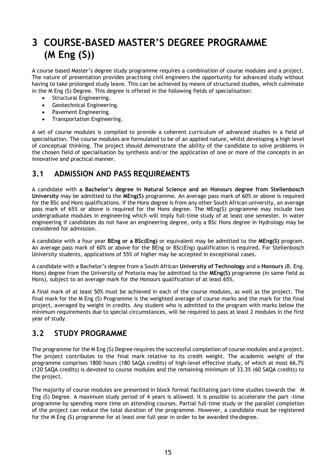## **3 COURSE-BASED MASTER'S DEGREE PROGRAMME (M Eng (S))**

A course based Master's degree study programme requires a combination of course modules and a project. The nature of presentation provides practising civil engineers the opportunity for advanced study without having to take prolonged study leave. This can be achieved by means of structured studies, which culminate in the M Eng (S) Degree. This degree is offered in the following fields of specialisation:

- Structural Engineering.
- Geotechnical Engineering.
- Pavement Engineering.
- Transportation Engineering.

A set of course modules is compiled to provide a coherent curriculum of advanced studies in a field of specialisation. The course modules are formulated to be of an applied nature, whilst developing a high level of conceptual thinking. The project should demonstrate the ability of the candidate to solve problems in the chosen field of specialisation by synthesis and/or the application of one or more of the concepts in an innovative and practical manner.

#### **3.1 ADMISSION AND PASS REQUIREMENTS**

A candidate with **a Bachelor's degree in Natural Science and an Honours degree from Stellenbosch University** may be admitted to the **MEng(S)** programme. An average pass mark of 60% or above is required for the BSc and Hons qualifications. If the Hons degree is from any other South African university, an average pass mark of 65% or above is required for the Hons degree. The MEng(S) programme may include two undergraduate modules in engineering which will imply full-time study of at least one semester. In water engineering if candidates do not have an engineering degree, only a BSc Hons degree in Hydrology may be considered for admission.

A candidate with a four year **BEng or a BSc(Eng)** or equivalent may be admitted to the **MEng(S)** program. An average pass mark of 60% or above for the BEng or BSc(Eng) qualification is required. For Stellenbosch University students, applications of 55% of higher may be accepted in exceptional cases.

A candidate with a Bachelor's degree from a South African **University of Technology** and a **Honours** (B. Eng. Hons) degree from the University of Pretoria may be admitted to the **MEng(S)** programme (in same field as Hons), subject to an average mark for the Honours qualification of at least 65%.

A final mark of at least 50% must be achieved in each of the course modules, as well as the project. The final mark for the M Eng (S) Programme is the weighted average of course marks and the mark for the final project, averaged by weight in credits. Any student who is admitted to the program with marks below the minimum requirements due to special circumstances, will be required to pass at least 2 modules in the first year of study.

#### **3.2 STUDY PROGRAMME**

The programme for the M Eng (S) Degree requires the successful completion of course modules and a project. The project contributes to the final mark relative to its credit weight. The academic weight of the programme comprises 1800 hours (180 SAQA credits) of high-level effective study, of which at most 66.7% (120 SAQA credits) is devoted to course modules and the remaining minimum of 33.3% (60 SAQA credits) to the project.

The majority of course modules are presented in block format facilitating part-time studies towards the M Eng (S) Degree. A maximum study period of 4 years is allowed. It is possible to accelerate the part -time programme by spending more time on attending courses. Partial full-time study or the parallel completion of the project can reduce the total duration of the programme. However, a candidate must be registered for the M Eng (S) programme for at least one full year in order to be awarded the degree.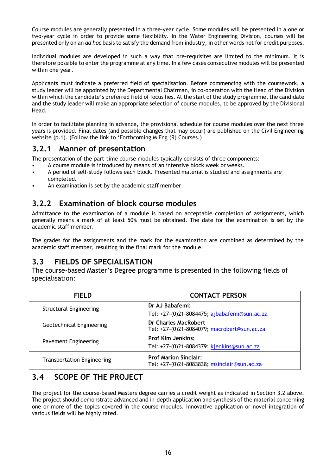Course modules are generally presented in a three-year cycle. Some modules will be presented in a one or two-year cycle in order to provide some flexibility. In the Water Engineering Division, courses will be presented only on an *ad hoc* basis to satisfy the demand from industry, in other words not for credit purposes.

Individual modules are developed in such a way that pre-requisites are limited to the minimum. It is therefore possible to enter the programme at any time. In a few cases consecutive modules will be presented within one year.

Applicants must indicate a preferred field of specialisation. Before commencing with the coursework, a study leader will be appointed by the Departmental Chairman, in co-operation with the Head of the Division within which the candidate's preferred field of focus lies. At the start of the study programme, the candidate and the study leader will make an appropriate selection of course modules, to be approved by the Divisional Head.

In order to facilitate planning in advance, the provisional schedule for course modules over the next three years is provided. Final dates (and possible changes that may occur) are published on the Civil Engineering website (p.1). (Follow the link to 'Forthcoming M Eng (R) Courses.)

#### **3.2.1 Manner of presentation**

The presentation of the part-time course modules typically consists of three components:

- A course module is introduced by means of an intensive block week or weeks.
- A period of self-study follows each block. Presented material is studied and assignments are completed.
- An examination is set by the academic staff member.

#### **3.2.2 Examination of block course modules**

Admittance to the examination of a module is based on acceptable completion of assignments, which generally means a mark of at least 50% must be obtained. The date for the examination is set by the academic staff member.

The grades for the assignments and the mark for the examination are combined as determined by the academic staff member, resulting in the final mark for the module.

#### **3.3 FIELDS OF SPECIALISATION**

The course-based Master's Degree programme is presented in the following fields of specialisation:

| <b>FIELD</b>                      | <b>CONTACT PERSON</b>                                                       |
|-----------------------------------|-----------------------------------------------------------------------------|
| <b>Structural Engineering</b>     | Dr AJ Babafemi:                                                             |
|                                   | Tel: +27-(0)21-8084475; ajbabafemi@sun.ac.za                                |
| Geotechnical Engineering          | Dr Charles MacRobert<br>Tel: +27-(0)21-8084079; macrobert@sun.ac.za         |
| Pavement Engineering              | <b>Prof Kim Jenkins:</b>                                                    |
|                                   | Tel: +27-(0)21-8084379; kjenkins@sun.ac.za                                  |
| <b>Transportation Engineering</b> | <b>Prof Marion Sinclair:</b><br>Tel: +27-(0)21-8083838; msinclair@sun.ac.za |

### **3.4 SCOPE OF THE PROJECT**

The project for the course-based Masters degree carries a credit weight as indicated in Section 3.2 above. The project should demonstrate advanced and in-depth application and synthesis of the material concerning one or more of the topics covered in the course modules. Innovative application or novel integration of various fields will be highly rated.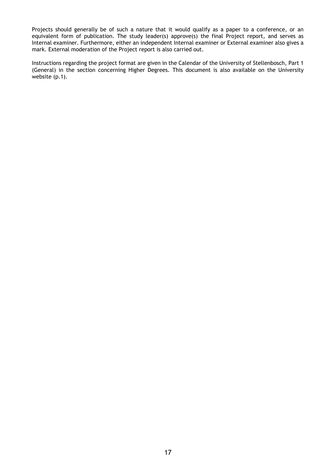Projects should generally be of such a nature that it would qualify as a paper to a conference, or an equivalent form of publication. The study leader(s) approve(s) the final Project report, and serves as Internal examiner. Furthermore, either an independent Internal examiner or External examiner also gives a mark. External moderation of the Project report is also carried out.

Instructions regarding the project format are given in the Calendar of the University of Stellenbosch, Part 1 (General) in the section concerning Higher Degrees. This document is also available on the University website (p.1).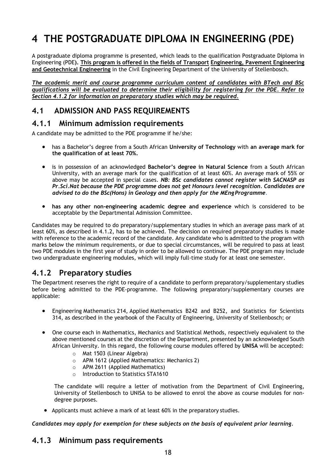# **4 THE POSTGRADUATE DIPLOMA IN ENGINEERING (PDE)**

A postgraduate diploma programme is presented, which leads to the qualification Postgraduate Diploma in Engineering (PDE**). This program is offered in the fields of Transport Engineering, Pavement Engineering and Geotechnical Engineering** in the Civil Engineering Department of the University of Stellenbosch.

*The academic merit and course programme curriculum content of candidates with BTech and BSc qualifications will be evaluated to determine their eligibility for registering for the PDE. Refer to Section 4.1.2 for information on preparatory studies which may be required.* 

### **4.1 ADMISSION AND PASS REQUIREMENTS**

#### **4.1.1 Minimum admission requirements**

A candidate may be admitted to the PDE programme if he/she:

- has a Bachelor's degree from a South African **University of Technology** with **an average mark for the qualification of at least 70%.**
- is in possession of an acknowledged **Bachelor's degree in Natural Science** from a South African University, with an average mark for the qualification of at least 60%. An average mark of 55% or above may be accepted in special cases. *NB: BSc candidates cannot register with SACNASP as Pr.Sci.Nat because the PDE programme does not get Honours level recognition. Candidates are advised to do the BSc(Hons) in Geology and then apply for the MEng Programme*.
- **has any other non-engineering academic degree and experience** which is considered to be acceptable by the Departmental Admission Committee.

Candidates may be required to do preparatory/supplementary studies in which an average pass mark of at least 60%, as described in 4.1.2, has to be achieved. The decision on required preparatory studies is made with reference to the academic record of the candidate. Any candidate who is admitted to the program with marks below the minimum requirements, or due to special circumstances, will be required to pass at least two PDE modules in the first year of study in order to be allowed to continue. The PDE program may include two undergraduate engineering modules, which will imply full-time study for at least one semester.

#### **4.1.2 Preparatory studies**

The Department reserves the right to require of a candidate to perform preparatory/supplementary studies before being admitted to the PDE-programme. The following preparatory/supplementary courses are applicable:

- Engineering Mathematics 214, Applied Mathematics B242 and B252, and Statistics for Scientists 314, as described in the yearbook of the Faculty of Engineering, University of Stellenbosch; or
- One course each in Mathematics, Mechanics and Statistical Methods, respectively equivalent to the above mentioned courses at the discretion of the Department, presented by an acknowledged South African University. In this regard, the following course modules offered by **UNISA** will be accepted:
	- o Mat 1503 (Linear Algebra)
	- o APM 1612 (Applied Mathematics: Mechanics 2)
	- o APM 2611 (Applied Mathematics)
	- o Introduction to Statistics STA1610

The candidate will require a letter of motivation from the Department of Civil Engineering, University of Stellenbosch to UNISA to be allowed to enrol the above as course modules for nondegree purposes.

Applicants must achieve a mark of at least 60% in the preparatory studies.

*Candidates may apply for exemption for these subjects on the basis of equivalent prior learning.* 

### **4.1.3 Minimum pass requirements**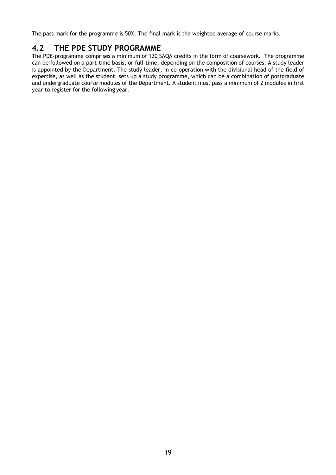The pass mark for the programme is 50%. The final mark is the weighted average of course marks.

#### **4.2 THE PDE STUDY PROGRAMME**

The PDE-programme comprises a minimum of 120 SAQA credits in the form of coursework. The programme can be followed on a part-time basis, or full-time, depending on the composition of courses. A study leader is appointed by the Department. The study leader, in co-operation with the divisional head of the field of expertise, as well as the student, sets up a study programme, which can be a combination of postgraduate and undergraduate course modules of the Department. A student must pass a minimum of 2 modules in first year to register for the following year.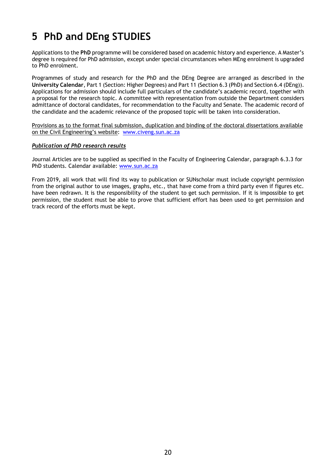## **5 PhD and DEng STUDIES**

Applications to the **PhD** programme will be considered based on academic history and experience. A Master's degree is required for PhD admission, except under special circumstances when MEng enrolment is upgraded to PhD enrolment.

Programmes of study and research for the PhD and the DEng Degree are arranged as described in the **University Calendar**, Part 1 (Section: Higher Degrees) and Part 11 (Section 6.3 (PhD) and Section 6.4 (DEng)). Applications for admission should include full particulars of the candidate's academic record, together with a proposal for the research topic. A committee with representation from outside the Department considers admittance of doctoral candidates, for recommendation to the Faculty and Senate. The academic record of the candidate and the academic relevance of the proposed topic will be taken into consideration.

Provisions as to the format final submission, duplication and binding of the doctoral dissertations available on the Civil Engineering's website: www.civeng.sun.ac.za

#### *Publication of PhD research results*

Journal Articles are to be supplied as specified in the Faculty of Engineering Calendar, paragraph 6.3.3 for PhD students. Calendar available: www.sun.ac.za

From 2019, all work that will find its way to publication or SUNscholar must include copyright permission from the original author to use images, graphs, etc., that have come from a third party even if figures etc. have been redrawn. It is the responsibility of the student to get such permission. If it is impossible to get permission, the student must be able to prove that sufficient effort has been used to get permission and track record of the efforts must be kept.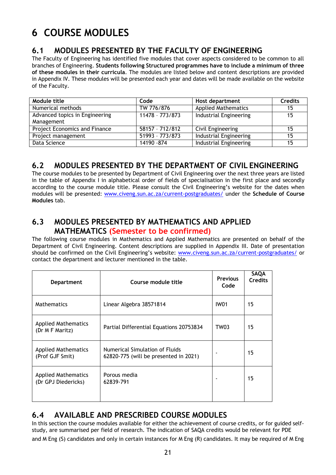# **6 COURSE MODULES**

#### **6.1 MODULES PRESENTED BY THE FACULTY OF ENGINEERING**

The Faculty of Engineering has identified five modules that cover aspects considered to be common to all branches of Engineering. **Students following Structured programmes have to include a minimum of three of these modules in their curricula**. The modules are listed below and content descriptions are provided in Appendix IV. These modules will be presented each year and dates will be made available on the website of the Faculty.

| Module title                   | Code            | Host department               | <b>Credits</b> |
|--------------------------------|-----------------|-------------------------------|----------------|
| Numerical methods              | TW 776/876      | <b>Applied Mathematics</b>    | 15             |
| Advanced topics in Engineering | 11478 - 773/873 | <b>Industrial Engineering</b> | 15             |
| Management                     |                 |                               |                |
| Project Economics and Finance  | 58157 - 712/812 | Civil Engineering             | 15             |
| Project management             | 51993 - 773/873 | <b>Industrial Engineering</b> | 15             |
| Data Science                   | 14190 - 874     | <b>Industrial Engineering</b> | 15             |

#### **6.2 MODULES PRESENTED BY THE DEPARTMENT OF CIVIL ENGINEERING**

The course modules to be presented by Department of Civil Engineering over the next three years are listed in the table of Appendix I in alphabetical order of fields of specialisation in the first place and secondly according to the course module title. Please consult the Civil Engineering's website for the dates when modules will be presented: www.civeng.sun.ac.za/current-postgraduates/ under the **Schedule of Course Modules** tab.

#### **6.3 MODULES PRESENTED BY MATHEMATICS AND APPLIED MATHEMATICS (Semester to be confirmed)**

The following course modules in Mathematics and Applied Mathematics are presented on behalf of the Department of Civil Engineering. Content descriptions are supplied in Appendix III. Date of presentation should be confirmed on the Civil Engineering's website: www.civeng.sun.ac.za/current-postgraduates/ or contact the department and lecturer mentioned in the table.

| <b>Department</b>                                 | Course module title                                                     | <b>Previous</b><br>Code | <b>SAQA</b><br><b>Credits</b> |
|---------------------------------------------------|-------------------------------------------------------------------------|-------------------------|-------------------------------|
| <b>Mathematics</b>                                | Linear Algebra 38571814                                                 | <b>IW01</b>             | 15                            |
| <b>Applied Mathematics</b><br>(Dr M F Maritz)     | Partial Differential Equations 20753834                                 | TW03                    | 15                            |
| <b>Applied Mathematics</b><br>(Prof GJF Smit)     | Numerical Simulation of Fluids<br>62820-775 (will be presented in 2021) |                         | 15                            |
| <b>Applied Mathematics</b><br>(Dr GPJ Diedericks) | Porous media<br>62839-791                                               |                         | 15                            |

### **6.4 AVAILABLE AND PRESCRIBED COURSE MODULES**

In this section the course modules available for either the achievement of course credits, or for guided selfstudy, are summarised per field of research. The indication of SAQA credits would be relevant for PDE and M Eng (S) candidates and only in certain instances for M Eng (R) candidates. It may be required of M Eng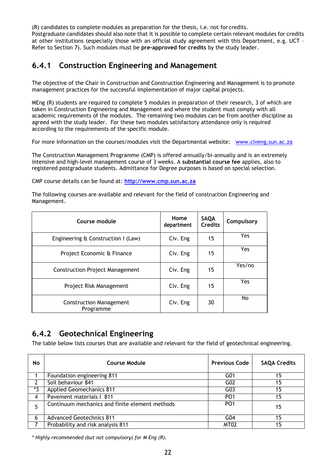(R) candidates to complete modules as preparation for the thesis, i.e. not for credits. Postgraduate candidates should also note that it is possible to complete certain relevant modules for credits at other institutions (especially those with an official study agreement with this Department, e.g. UCT – Refer to Section 7). Such modules must be **pre-approved for credits** by the study leader.

#### **6.4.1 Construction Engineering and Management**

The objective of the Chair in Construction and Construction Engineering and Management is to promote management practices for the successful implementation of major capital projects.

MEng (R) students are required to complete 5 modules in preparation of their research, 3 of which are taken in Construction Engineering and Management and where the student must comply with all academic requirements of the modules. The remaining two modules can be from another discipline as agreed with the study leader. For these two modules satisfactory attendance only is required according to the requirements of the specific module.

For more information on the courses/modules visit the Departmental website: www.civeng.sun.ac.za

The Construction Management Programme (CMP) is offered annually/bi-annually and is an extremely intensive and high-level management course of 3 weeks. A **substantial course fee** applies, also to registered postgraduate students. Admittance for Degree purposes is based on special selection.

CMP course details can be found at: **http://www.cmp.sun.ac.za**

The following courses are available and relevant for the field of construction Engineering and Management.

| Course module                               | Home<br>department | <b>SAQA</b><br><b>Credits</b> | Compulsory |
|---------------------------------------------|--------------------|-------------------------------|------------|
| Engineering & Construction I (Law)          | Civ. Eng           | 15                            | Yes        |
| Project Economic & Finance                  | Civ. Eng           | 15                            | <b>Yes</b> |
| <b>Construction Project Management</b>      | Civ. Eng           | 15                            | Yes/no     |
| Project Risk Management                     | Civ. Eng           | 15                            | Yes        |
| <b>Construction Management</b><br>Programme | Civ. Eng           | 30                            | No         |

### **6.4.2 Geotechnical Engineering**

The table below lists courses that are available and relevant for the field of geotechnical engineering.

| No             | <b>Course Module</b>                           | <b>Previous Code</b> | <b>SAQA Credits</b> |
|----------------|------------------------------------------------|----------------------|---------------------|
|                | Foundation engineering 811                     | G <sub>01</sub>      | 15                  |
| 2              | Soil behaviour 841                             | G02                  | 15                  |
| $*3$           | <b>Applied Geomechanics 811</b>                | G03                  | 15                  |
| $\overline{4}$ | Pavement materials   811                       | PO <sub>1</sub>      | 15                  |
|                | Continuum mechanics and finite element methods | PO <sub>1</sub>      | 15                  |
| 6              | <b>Advanced Geotechnics 811</b>                | G04                  | 15                  |
|                | Probability and risk analysis 811              | MT <sub>02</sub>     | 15                  |

*\* Highly recommended (but not compulsory) for M Eng (R).*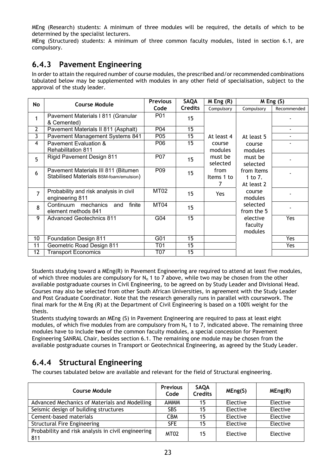MEng (Research) students: A minimum of three modules will be required, the details of which to be determined by the specialist lecturers.

MEng (Structured) students: A minimum of three common faculty modules, listed in section 6.1, are compulsory.

#### **6.4.3 Pavement Engineering**

In order to attain the required number of course modules, the prescribed and/or recommended combinations tabulated below may be supplemented with modules in any other field of specialisation, subject to the approval of the study leader.

| No              | <b>Course Module</b>                                                           | <b>Previous</b> | SAQA            | $M$ Eng $(R)$           |                                                                                                                      | $M$ Eng $(S)$ |  |                     |  |
|-----------------|--------------------------------------------------------------------------------|-----------------|-----------------|-------------------------|----------------------------------------------------------------------------------------------------------------------|---------------|--|---------------------|--|
|                 |                                                                                | Code            | <b>Credits</b>  | Compulsory              | Compulsory                                                                                                           | Recommended   |  |                     |  |
| 1               | Pavement Materials I 811 (Granular<br>& Cemented)                              | P01             | 15              |                         |                                                                                                                      |               |  |                     |  |
| $\mathbf{2}$    | Pavement Materials II 811 (Asphalt)                                            | P <sub>04</sub> | 15              |                         |                                                                                                                      |               |  |                     |  |
| 3               | <b>Pavement Management Systems 841</b>                                         | P05             | 15              | At least 4              | At least 5                                                                                                           |               |  |                     |  |
| $\overline{4}$  | Pavement Evaluation &<br><b>Rehabilitation 811</b>                             | P06             | 15              | course<br>modules       | course<br>modules                                                                                                    |               |  |                     |  |
| 5               | <b>Rigid Pavement Design 811</b>                                               | P07             | 15              | must be<br>selected     |                                                                                                                      |               |  | must be<br>selected |  |
| 6               | Pavement Materials III 811 (Bitumen<br>Stabilised Materials BSM-foam/emulsion) | P <sub>09</sub> | 15 <sub>1</sub> | from<br>Items 1 to<br>7 | from Items<br>1 to 7.<br>At least 2<br>course<br>modules<br>selected<br>from the 5<br>elective<br>faculty<br>modules |               |  |                     |  |
| $\overline{7}$  | Probability and risk analysis in civil<br>engineering 811                      | <b>MT02</b>     | 15              | Yes                     |                                                                                                                      |               |  |                     |  |
| 8               | Continuum mechanics<br>finite<br>and<br>element methods 841                    | MT04            | 15              |                         |                                                                                                                      |               |  |                     |  |
| 9               | <b>Advanced Geotechnics 811</b>                                                | G04             | 15              |                         |                                                                                                                      | Yes           |  |                     |  |
| 10              | Foundation Design 811                                                          | G01             | 15              |                         |                                                                                                                      | Yes           |  |                     |  |
| 11              | Geometric Road Design 811                                                      | T01             | 15              |                         |                                                                                                                      | Yes           |  |                     |  |
| $\overline{12}$ | <b>Transport Economics</b>                                                     | T07             | $\overline{15}$ |                         |                                                                                                                      |               |  |                     |  |

Students studying toward a MEng(R) in Pavement Engineering are required to attend at least five modules, of which three modules are compulsory for  $N_0$  1 to 7 above, while two may be chosen from the other available postgraduate courses in Civil Engineering, to be agreed on by Study Leader and Divisional Head. Courses may also be selected from other South African Universities, in agreement with the Study Leader and Post Graduate Coordinator. Note that the research generally runs in parallel with coursework. The final mark for the M Eng (R) at the Department of Civil Engineering is based on a 100% weight for the thesis.

Students studying towards an MEng (S) in Pavement Engineering are required to pass at least eight modules, of which five modules from are compulsory from  $N_0$  1 to 7, indicated above. The remaining three modules have to include **two** of the common faculty modules, a special concession for Pavement Engineering SANRAL Chair, besides section 6.1. The remaining one module may be chosen from the available postgraduate courses in Transport or Geotechnical Engineering, as agreed by the Study Leader.

### **6.4.4 Structural Engineering**

The courses tabulated below are available and relevant for the field of Structural engineering.

| <b>Course Module</b>                                      | <b>Previous</b><br>Code | <b>SAQA</b><br><b>Credits</b> | MEng(S)  | MEng(R)  |
|-----------------------------------------------------------|-------------------------|-------------------------------|----------|----------|
| Advanced Mechanics of Materials and Modelling             | <b>AMMM</b>             | 15                            | Elective | Elective |
| Seismic design of building structures                     | <b>SBS</b>              | 15                            | Elective | Elective |
| Cement-based materials                                    | <b>CBM</b>              | 15                            | Elective | Elective |
| <b>Structural Fire Engineering</b>                        | <b>SFE</b>              | 15                            | Elective | Elective |
| Probability and risk analysis in civil engineering<br>811 | MT <sub>02</sub>        | 15                            | Elective | Elective |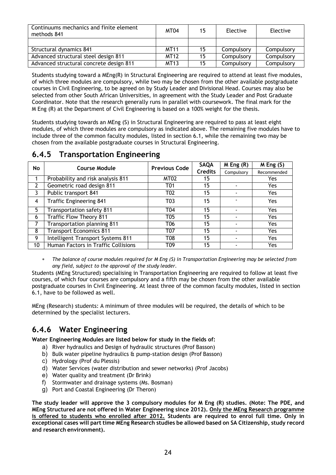| Continuums mechanics and finite element<br>methods 841 | MT04        | 15  | Elective   | Elective   |
|--------------------------------------------------------|-------------|-----|------------|------------|
|                                                        |             |     |            |            |
| Structural dynamics 841                                | <b>MT11</b> | 15  | Compulsory | Compulsory |
| Advanced structural steel design 811                   | MT12        | 15. | Compulsory | Compulsory |
| Advanced structural concrete design 811                | <b>MT13</b> | 15  | Compulsory | Compulsory |

Students studying toward a MEng(R) in Structural Engineering are required to attend at least five modules, of which three modules are compulsory, while two may be chosen from the other available postgraduate courses in Civil Engineering, to be agreed on by Study Leader and Divisional Head. Courses may also be selected from other South African Universities, in agreement with the Study Leader and Post Graduate Coordinator. Note that the research generally runs in parallel with coursework. The final mark for the M Eng (R) at the Department of Civil Engineering is based on a 100% weight for the thesis.

Students studying towards an MEng (S) in Structural Engineering are required to pass at least eight modules, of which three modules are compulsory as indicated above. The remaining five modules have to include three of the common faculty modules, listed in section 6.1, while the remaining two may be chosen from the available postgraduate courses in Structural Engineering.

| No | <b>Course Module</b><br><b>Previous Code</b> |                  | <b>SAQA</b>    | $M$ Eng $(R)$ | $M$ Eng $(S)$ |
|----|----------------------------------------------|------------------|----------------|---------------|---------------|
|    |                                              |                  | <b>Credits</b> | Compulsory    | Recommended   |
|    | Probability and risk analysis 811            | MT02             | 15             |               | Yes           |
|    | Geometric road design 811                    | <b>T01</b>       | 15             |               | <b>Yes</b>    |
|    | Public transport 841                         | T02              | 15             |               | Yes           |
| 4  | <b>Traffic Engineering 841</b>               | T03              | 15             |               | Yes           |
| 5  | Transportation safety 811                    | T <sub>04</sub>  | 15             |               | Yes.          |
| 6  | <b>Traffic Flow Theory 811</b>               | T <sub>0</sub> 5 | 15             |               | <b>Yes</b>    |
|    | Transportation planning 811                  | T06              | 15             |               | Yes           |
| 8  | <b>Transport Economics 811</b>               | T07              | 15             |               | <b>Yes</b>    |
| 9  | Intelligent Transport Systems 811            | T08              | 15             |               | <b>Yes</b>    |
| 10 | Human Factors in Traffic Collisions          | T <sub>09</sub>  | 15             |               | Yes           |

#### **6.4.5 Transportation Engineering**

 *The balance of course modules required for M Eng (S) in Transportation Engineering may be selected from any field, subject to the approval of the study leader.* 

Students (MEng Structured) specialising in Transportation Engineering are required to follow at least five courses, of which four courses are compulsory and a fifth may be chosen from the other available postgraduate courses in Civil Engineering. At least three of the common faculty modules, listed in section 6.1, have to be followed as well.

MEng (Research) students: A minimum of three modules will be required, the details of which to be determined by the specialist lecturers.

### **6.4.6 Water Engineering**

**Water Engineering Modules are listed below for study in the fields of:** 

- a) River hydraulics and Design of hydraulic structures (Prof Basson)
- b) Bulk water pipeline hydraulics & pump-station design (Prof Basson)
- c) Hydrology (Prof du Plessis)
- d) Water Services (water distribution and sewer networks) (Prof Jacobs)
- e) Water quality and treatment (Dr Brink)
- f) Stormwater and drainage systems (Ms. Bosman)
- g) Port and Coastal Engineering (Dr Theron)

**The study leader will approve the 3 compulsory modules for M Eng (R) studies. (Note: The PDE, and MEng Structured are not offered in Water Engineering since 2012). Only the MEng Research programme is offered to students who enrolled after 2012. Students are required to enrol full time. Only in exceptional cases will part time MEng Research studies be allowed based on SA Citizenship, study record and research environment).**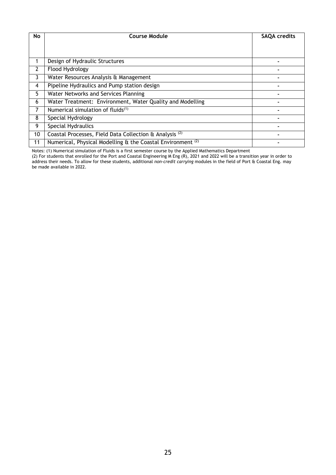| No | <b>Course Module</b>                                                   | <b>SAQA credits</b> |
|----|------------------------------------------------------------------------|---------------------|
|    |                                                                        |                     |
|    | Design of Hydraulic Structures                                         |                     |
| 2  | Flood Hydrology                                                        |                     |
| 3  | Water Resources Analysis & Management                                  |                     |
| 4  | Pipeline Hydraulics and Pump station design                            |                     |
| 5  | Water Networks and Services Planning                                   |                     |
| 6  | Water Treatment: Environment, Water Quality and Modelling              |                     |
| 7  | Numerical simulation of fluids <sup>(1)</sup>                          |                     |
| 8  | Special Hydrology                                                      |                     |
| 9  | Special Hydraulics                                                     |                     |
| 10 | Coastal Processes, Field Data Collection & Analysis <sup>(2)</sup>     |                     |
| 11 | Numerical, Physical Modelling & the Coastal Environment <sup>(2)</sup> |                     |

Notes: (1) Numerical simulation of Fluids is a first semester course by the Applied Mathematics Department

(2) For students that enrolled for the Port and Coastal Engineering M Eng (R), 2021 and 2022 will be a transition year in order to address their needs. To allow for these students, additional *non-credit carrying* modules in the field of Port & Coastal Eng. may be made available in 2022.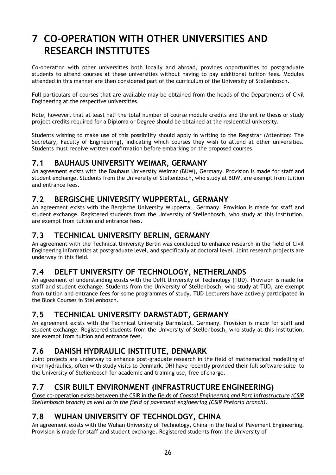## **7 CO-OPERATION WITH OTHER UNIVERSITIES AND RESEARCH INSTITUTES**

Co-operation with other universities both locally and abroad, provides opportunities to postgraduate students to attend courses at these universities without having to pay additional tuition fees. Modules attended in this manner are then considered part of the curriculum of the University of Stellenbosch.

Full particulars of courses that are available may be obtained from the heads of the Departments of Civil Engineering at the respective universities.

Note, however, that at least half the total number of course module credits and the entire thesis or study project credits required for a Diploma or Degree should be obtained at the residential university.

Students wishing to make use of this possibility should apply in writing to the Registrar (Attention: The Secretary, Faculty of Engineering), indicating which courses they wish to attend at other universities. Students must receive written confirmation before embarking on the proposed courses.

#### **7.1 BAUHAUS UNIVERSITY WEIMAR, GERMANY**

An agreement exists with the Bauhaus University Weimar (BUW), Germany. Provision is made for staff and student exchange. Students from the University of Stellenbosch, who study at BUW, are exempt from tuition and entrance fees.

#### **7.2 BERGISCHE UNIVERSITY WUPPERTAL, GERMANY**

An agreement exists with the Bergische University Wuppertal, Germany. Provision is made for staff and student exchange. Registered students from the University of Stellenbosch, who study at this institution, are exempt from tuition and entrance fees.

#### **7.3 TECHNICAL UNIVERSITY BERLIN, GERMANY**

An agreement with the Technical University Berlin was concluded to enhance research in the field of Civil Engineering Informatics at postgraduate level, and specifically at doctoral level. Joint research projects are underway in this field.

### **7.4 DELFT UNIVERSITY OF TECHNOLOGY, NETHERLANDS**

An agreement of understanding exists with the Delft University of Technology (TUD). Provision is made for staff and student exchange. Students from the University of Stellenbosch, who study at TUD, are exempt from tuition and entrance fees for some programmes of study. TUD Lecturers have actively participated in the Block Courses in Stellenbosch.

#### **7.5 TECHNICAL UNIVERSITY DARMSTADT, GERMANY**

An agreement exists with the Technical University Darmstadt, Germany. Provision is made for staff and student exchange. Registered students from the University of Stellenbosch, who study at this institution, are exempt from tuition and entrance fees.

### **7.6 DANISH HYDRAULIC INSTITUTE, DENMARK**

Joint projects are underway to enhance post-graduate research in the field of mathematical modelling of river hydraulics, often with study visits to Denmark. DHI have recently provided their full software suite to the University of Stellenbosch for academic and training use, free of charge.

### **7.7 CSIR BUILT ENVIRONMENT (INFRASTRUCTURE ENGINEERING)**

Close co-operation exists between the CSIR in the fields of *Coastal Engineering and Port infrastructure (CSIR Stellenbosch branch) as well as in the field of pavement engineering (CSIR Pretoria branch).* 

### **7.8 WUHAN UNIVERSITY OF TECHNOLOGY, CHINA**

An agreement exists with the Wuhan University of Technology, China in the field of Pavement Engineering. Provision is made for staff and student exchange. Registered students from the University of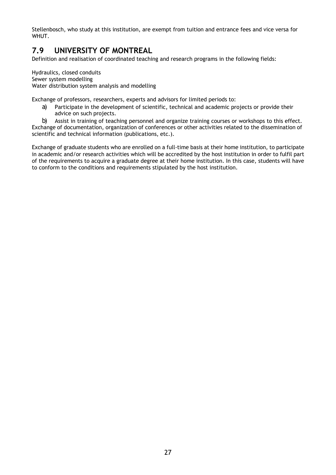Stellenbosch, who study at this institution, are exempt from tuition and entrance fees and vice versa for WHUT.

### **7.9 UNIVERSITY OF MONTREAL**

Definition and realisation of coordinated teaching and research programs in the following fields:

Hydraulics, closed conduits Sewer system modelling Water distribution system analysis and modelling

Exchange of professors, researchers, experts and advisors for limited periods to:

a) Participate in the development of scientific, technical and academic projects or provide their advice on such projects.

b) Assist in training of teaching personnel and organize training courses or workshops to this effect. Exchange of documentation, organization of conferences or other activities related to the dissemination of scientific and technical information (publications, etc.).

Exchange of graduate students who are enrolled on a full-time basis at their home institution, to participate in academic and/or research activities which will be accredited by the host institution in order to fulfil part of the requirements to acquire a graduate degree at their home institution. In this case, students will have to conform to the conditions and requirements stipulated by the host institution.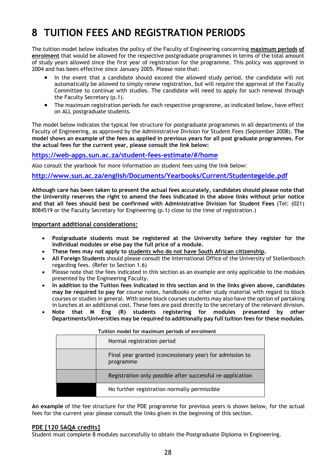# **8 TUITION FEES AND REGISTRATION PERIODS**

The tuition model below indicates the policy of the Faculty of Engineering concerning **maximum periods of enrolment** that would be allowed for the respective postgraduate programmes in terms of the total amount of study years allowed since the first year of registration for the programme. This policy was approved in 2004 and has been effective since January 2005. Please note that:

- In the event that a candidate should exceed the allowed study period, the candidate will not automatically be allowed to simply renew registration, but will require the approval of the Faculty Committee to continue with studies. The candidate will need to apply for such renewal through the Faculty Secretary (p.1).
- The maximum registration periods for each respective programme, as indicated below, have effect on ALL postgraduate students.

The model below indicates the typical fee structure for postgraduate programmes in all departments of the Faculty of Engineering, as approved by the Administrative Division for Student Fees (September 2008). **The model shows an example of the fees as applied in previous years for all post graduate programmes. For the actual fees for the current year, please consult the link below:**

#### **https://web-apps.sun.ac.za/student-fees-estimate/#/home**

Also consult the yearbook for more information on student fees using the link below:

#### **http://www.sun.ac.za/english/Documents/Yearbooks/Current/Studentegelde.pdf**

**Although care has been taken to present the actual fees accurately, candidates should please note that the University reserves the right to amend the fees indicated in the above links without prior notice and that all fees should best be confirmed with Administrative Division for Student Fees** (Tel: (021) 8084519 or the Faculty Secretary for Engineering (p.1) close to the time of registration.)

#### **Important additional considerations:**

- **Postgraduate students must be registered at the University before they register for the individual modules or else pay the full price of a module.**
- **These fees may not apply to students who do not have South African citizenship.**
- **All Foreign Students** should please consult the International Office of the University of Stellenbosch regarding fees. (Refer to Section 1.6)
- Please note that the fees indicated in this section as an example are only applicable to the modules presented by the Engineering Faculty.
- **In addition to the Tuition fees indicated in this section and in the links given above, candidates may be required to pay for** course notes, handbooks or other study material with regard to block courses or studies in general. With some block courses students may also have the option of partaking in lunches at an additional cost. These fees are paid directly to the secretary of the relevant division.
- **Note that M Eng (R) students registering for modules presented by other Departments/Universities may be required to additionally pay full tuition fees for these modules.**

| Normal registration period                                            |
|-----------------------------------------------------------------------|
| Final year granted (concessionary year) for admission to<br>programme |
| Registration only possible after successful re-application            |
| No further registration normally permissible                          |

**Tuition model for maximum periods of enrolment** 

**An example** of the fee structure for the PDE programme for previous years is shown below, for the actual fees for the current year please consult the links given in the beginning of this section.

#### **PDE [120 SAQA credits]**

Student must complete 8 modules successfully to obtain the Postgraduate Diploma in Engineering.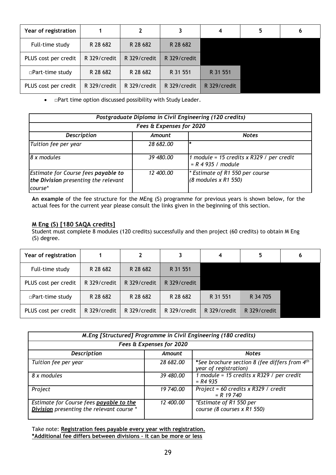| Year of registration |              | 2            | 3            | 4            | 6 |
|----------------------|--------------|--------------|--------------|--------------|---|
| Full-time study      | R 28 682     | R 28 682     | R 28 682     |              |   |
| PLUS cost per credit | R 329/credit | R 329/credit | R 329/credit |              |   |
| □Part-time study     | R 28 682     | R 28 682     | R 31 551     | R 31 551     |   |
| PLUS cost per credit | R 329/credit | R 329/credit | R 329/credit | R 329/credit |   |

• *Deart time option discussed possibility with Study Leader.* 

| Postgraduate Diploma in Civil Engineering (120 credits)                                |           |                                                                |  |  |  |  |
|----------------------------------------------------------------------------------------|-----------|----------------------------------------------------------------|--|--|--|--|
| Fees & Expenses for 2020                                                               |           |                                                                |  |  |  |  |
| <b>Description</b><br><b>Notes</b><br>Amount                                           |           |                                                                |  |  |  |  |
| Tuition fee per year                                                                   | 28 682.00 |                                                                |  |  |  |  |
| 8 x modules                                                                            | 39 480.00 | 1 module = 15 credits x $R329$ / per credit<br>$= R 4 935 / 2$ |  |  |  |  |
| Estimate for Course fees payable to<br>the Division presenting the relevant<br>course* | 12 400.00 | * Estimate of R1 550 per course<br>(8 modules x R1 550)        |  |  |  |  |

**An example** of the fee structure for the MEng (S) programme for previous years is shown below, for the actual fees for the current year please consult the links given in the beginning of this section.

#### **M Eng (S) [180 SAQA credits]**

Student must complete 8 modules (120 credits) successfully and then project (60 credits) to obtain M Eng (S) degree.

| Year of registration |              | 2            |              | 4            | 5            | 6 |
|----------------------|--------------|--------------|--------------|--------------|--------------|---|
| Full-time study      | R 28 682     | R 28 682     | R 31 551     |              |              |   |
| PLUS cost per credit | R 329/credit | R 329/credit | R 329/credit |              |              |   |
| □Part-time study     | R 28 682     | R 28 682     | R 28 682     | R 31 551     | R 34 705     |   |
| PLUS cost per credit | R 329/credit | R 329/credit | R 329/credit | R 329/credit | R 329/credit |   |

| M. Eng [Structured] Programme in Civil Engineering (180 credits)                     |           |                                                                                    |  |  |  |  |
|--------------------------------------------------------------------------------------|-----------|------------------------------------------------------------------------------------|--|--|--|--|
| Fees & Expenses for 2020                                                             |           |                                                                                    |  |  |  |  |
| <b>Description</b>                                                                   | Amount    | <b>Notes</b>                                                                       |  |  |  |  |
| Tuition fee per year                                                                 | 28 682,00 | *See brochure section 8 (fee differs from 4 <sup>th</sup><br>year of registration) |  |  |  |  |
| 8 x modules                                                                          | 39 480.00 | 1 module = 15 credits x $R329$ / per credit<br>$= R4935$                           |  |  |  |  |
| Project                                                                              | 19 740.00 | Project = 60 credits x $R329$ / credit<br>$= R$ 19 740                             |  |  |  |  |
| Estimate for Course fees payable to the<br>Division presenting the relevant course * | 12 400.00 | *Estimate of R1 550 per<br>course (8 courses x R1 550)                             |  |  |  |  |

Take note: **Registration fees payable every year with registration. \*Additional fee differs between divisions – it can be more or less**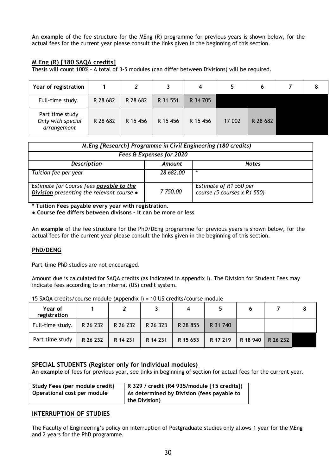**An example** of the fee structure for the MEng (R) programme for previous years is shown below, for the actual fees for the current year please consult the links given in the beginning of this section.

#### **M Eng (R) [180 SAQA credits]**

Thesis will count 100% - A total of 3-5 modules (can differ between Divisions) will be required.

| Year of registration                                |          | $\overline{2}$ | 3        | 4        | 5.     | 6        | 8 |
|-----------------------------------------------------|----------|----------------|----------|----------|--------|----------|---|
| Full-time study.                                    | R 28 682 | R 28 682       | R 31 551 | R 34 705 |        |          |   |
| Part time study<br>Only with special<br>arrangement | R 28 682 | R 15 456       | R 15 456 | R 15 456 | 17 002 | R 28 682 |   |

| M. Eng [Research] Programme in Civil Engineering (180 credits)                       |           |                                                       |  |  |  |
|--------------------------------------------------------------------------------------|-----------|-------------------------------------------------------|--|--|--|
| Fees & Expenses for 2020                                                             |           |                                                       |  |  |  |
| <b>Description</b>                                                                   | Amount    | <b>Notes</b>                                          |  |  |  |
| Tuition fee per year                                                                 | 28 682,00 | *                                                     |  |  |  |
| Estimate for Course fees payable to the<br>Division presenting the relevant course . | 7 750.00  | Estimate of R1 550 per<br>course (5 courses x R1 550) |  |  |  |

**\* Tuition Fees payable every year with registration.** 

**● Course fee differs between divisons – it can be more or less** 

**An example** of the fee structure for the PhD/DEng programme for previous years is shown below, for the actual fees for the current year please consult the links given in the beginning of this section.

#### **PhD/DENG**

Part-time PhD studies are not encouraged.

Amount due is calculated for SAQA credits (as indicated in Appendix I). The Division for Student Fees may indicate fees according to an internal (US) credit system.

| Year of<br>registration |          |          |          |          |          |          |          |  |
|-------------------------|----------|----------|----------|----------|----------|----------|----------|--|
| Full-time study.        | R 26 232 | R 26 232 | R 26 323 | R 28 855 | R 31 740 |          |          |  |
| Part time study         | R 26 232 | R 14 231 | R 14 231 | R 15 653 | R 17 219 | R 18 940 | R 26 232 |  |

15 SAQA credits/course module (Appendix I) = 10 US credits/course module

#### **SPECIAL STUDENTS (Register only for individual modules)**

**An example** of fees for previous year, see links in beginning of section for actual fees for the current year.

| Study Fees (per module credit) | R 329 / credit (R4 935/module [15 credits]) |
|--------------------------------|---------------------------------------------|
| Operational cost per module    | As determined by Division (fees payable to  |
|                                | the Division)                               |

#### **INTERRUPTION OF STUDIES**

The Faculty of Engineering's policy on interruption of Postgraduate studies only allows 1 year for the MEng and 2 years for the PhD programme.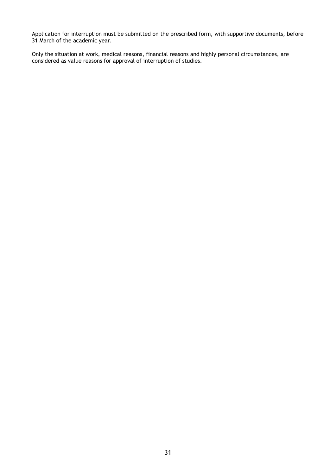Application for interruption must be submitted on the prescribed form, with supportive documents, before 31 March of the academic year.

Only the situation at work, medical reasons, financial reasons and highly personal circumstances, are considered as value reasons for approval of interruption of studies.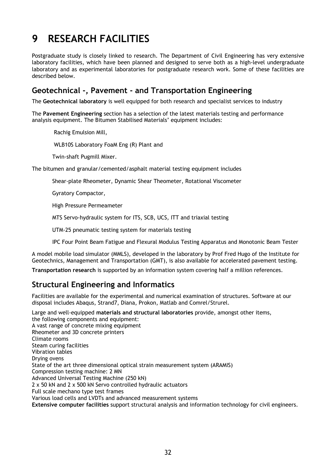## **9 RESEARCH FACILITIES**

Postgraduate study is closely linked to research. The Department of Civil Engineering has very extensive laboratory facilities, which have been planned and designed to serve both as a high-level undergraduate laboratory and as experimental laboratories for postgraduate research work. Some of these facilities are described below.

#### **Geotechnical -, Pavement - and Transportation Engineering**

The **Geotechnical laboratory** is well equipped for both research and specialist services to industry

The **Pavement Engineering** section has a selection of the latest materials testing and performance analysis equipment. The Bitumen Stabilised Materials' equipment includes:

Rachig Emulsion Mill,

WLB10S Laboratory FoaM Eng (R) Plant and

Twin-shaft Pugmill Mixer.

The bitumen and granular/cemented/asphalt material testing equipment includes

Shear-plate Rheometer, Dynamic Shear Theometer, Rotational Viscometer

Gyratory Compactor,

High Pressure Permeameter

MTS Servo-hydraulic system for ITS, SCB, UCS, ITT and triaxial testing

UTM-25 pneumatic testing system for materials testing

IPC Four Point Beam Fatigue and Flexural Modulus Testing Apparatus and Monotonic Beam Tester

A model mobile load simulator (MMLS), developed in the laboratory by Prof Fred Hugo of the Institute for Geotechnics, Management and Transportation (GMT), is also available for accelerated pavement testing.

**Transportation research** is supported by an information system covering half a million references.

#### **Structural Engineering and Informatics**

Facilities are available for the experimental and numerical examination of structures. Software at our disposal includes Abaqus, Strand7, Diana, Prokon, Matlab and Comrel/Strurel.

Large and well-equipped **materials and structural laboratories** provide, amongst other items, the following components and equipment: A vast range of concrete mixing equipment Rheometer and 3D concrete printers Climate rooms Steam curing facilities Vibration tables Drying ovens State of the art three dimensional optical strain measurement system (ARAMIS) Compression testing machine: 2 MN Advanced Universal Testing Machine (250 kN) 2 x 50 kN and 2 x 500 kN Servo controlled hydraulic actuators Full scale mechano type test frames Various load cells and LVDTs and advanced measurement systems **Extensive computer facilities** support structural analysis and information technology for civil engineers.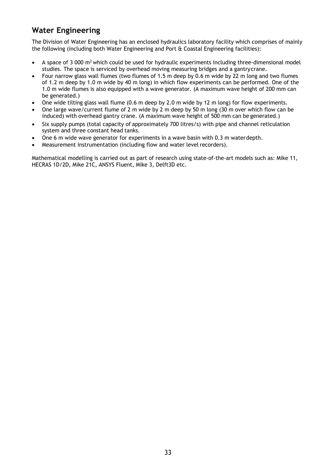#### **Water Engineering**

The Division of Water Engineering has an enclosed hydraulics laboratory facility which comprises of mainly the following (including both Water Engineering and Port & Coastal Engineering facilities):

- A space of 3 000 m2 which could be used for hydraulic experiments including three-dimensional model studies. The space is serviced by overhead moving measuring bridges and a gantry crane.
- Four narrow glass wall flumes (two flumes of 1.5 m deep by 0.6 m wide by 22 m long and two flumes of 1.2 m deep by 1.0 m wide by 40 m long) in which flow experiments can be performed. One of the 1.0 m wide flumes is also equipped with a wave generator. (A maximum wave height of 200 mm can be generated.)
- One wide tilting glass wall flume (0.6 m deep by 2.0 m wide by 12 m long) for flow experiments.
- One large wave/current flume of 2 m wide by 2 m deep by 50 m long (30 m over which flow can be induced) with overhead gantry crane. (A maximum wave height of 500 mm can be generated.)
- Six supply pumps (total capacity of approximately 700 litres/s) with pipe and channel reticulation system and three constant head tanks.
- One 6 m wide wave generator for experiments in a wave basin with 0.3 m water depth.
- Measurement instrumentation (including flow and water level recorders).

Mathematical modelling is carried out as part of research using state-of-the-art models such as: Mike 11, HECRAS 1D/2D, Mike 21C, ANSYS Fluent, Mike 3, Delft3D etc.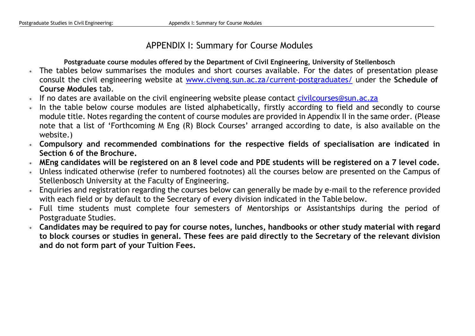### APPENDIX I: Summary for Course Modules

**Postgraduate course modules offered by the Department of Civil Engineering, University of Stellenbosch** 

- The tables below summarises the modules and short courses available. For the dates of presentation please consult the civil engineering website at www.civeng.sun.ac.za/current-postgraduates/ under the **Schedule of Course Modules** tab.
- ź. If no dates are available on the civil engineering website please contact civilcourses@sun.ac.za
- ÷ In the table below course modules are listed alphabetically, firstly according to field and secondly to course module title. Notes regarding the content of course modules are provided in Appendix II in the same order. (Please note that a list of 'Forthcoming M Eng (R) Block Courses' arranged according to date, is also available on the website.)
- **Compulsory and recommended combinations for the respective fields of specialisation are indicated in Section 6 of the Brochure.**
- ÷ **MEng candidates will be registered on an 8 level code and PDE students will be registered on a 7 level code.**
- Unless indicated otherwise (refer to numbered footnotes) all the courses below are presented on the Campus of Stellenbosch University at the Faculty of Engineering.
- $\ast$  Enquiries and registration regarding the courses below can generally be made by e-mail to the reference provided with each field or by default to the Secretary of every division indicated in the Table below.
- Full time students must complete four semesters of Mentorships or Assistantships during the period of Postgraduate Studies.
- **Candidates may be required to pay for course notes, lunches, handbooks or other study material with regard to block courses or studies in general. These fees are paid directly to the Secretary of the relevant division and do not form part of your Tuition Fees.**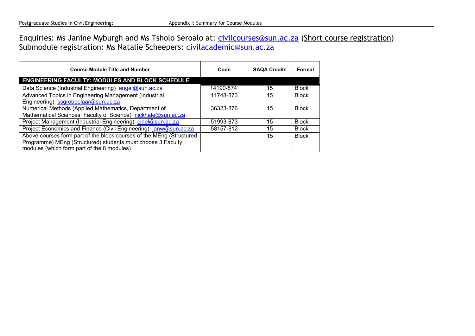Enquiries: Ms Janine Myburgh and Ms Tsholo Seroalo at: civilcourses@sun.ac.za (Short course registration) Submodule registration: Ms Natalie Scheepers: civilacademic@sun.ac.za

| <b>Course Module Title and Number</b>                                | Code      | <b>SAQA Credits</b> | Format       |
|----------------------------------------------------------------------|-----------|---------------------|--------------|
| <b>ENGINEERING FACULTY: MODULES AND BLOCK SCHEDULE</b>               |           |                     |              |
| Data Science (Industrial Engineering) engel@sun.ac.za                | 14190-874 | 15                  | <b>Block</b> |
| Advanced Topics in Engineering Management (Industrial                | 11748-873 | 15                  | <b>Block</b> |
| Engineering) ssgrobbelaar@sun.ac.za                                  |           |                     |              |
| Numerical Methods (Applied Mathematics, Department of                | 36323-876 | 15                  | <b>Block</b> |
| Mathematical Sciences, Faculty of Science) nickhale@sun.ac.za        |           |                     |              |
| Project Management (Industrial Engineering) cinel@sun.ac.za          | 51993-873 | 15                  | <b>Block</b> |
| Project Economics and Finance (Civil Engineering) janw@sun.ac.za     | 58157-812 | 15                  | <b>Block</b> |
| Above courses form part of the block courses of the MEng (Structured |           | 15                  | <b>Block</b> |
| Programme) MEng (Structured) students must choose 3 Faculty          |           |                     |              |
| modules (which form part of the 8 modules)                           |           |                     |              |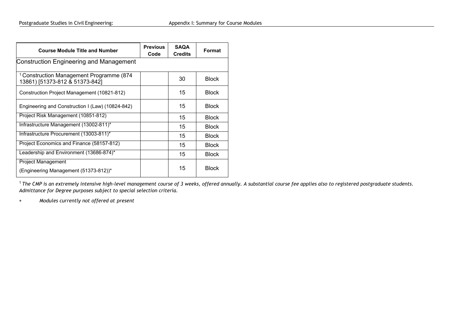| <b>Course Module Title and Number</b>                                                 | <b>Previous</b><br>Code | <b>SAQA</b><br><b>Credits</b> | Format       |
|---------------------------------------------------------------------------------------|-------------------------|-------------------------------|--------------|
| <b>Construction Engineering and Management</b>                                        |                         |                               |              |
| <sup>1</sup> Construction Management Programme (874<br>13861) [51373-812 & 51373-842] |                         | 30                            | <b>Block</b> |
| Construction Project Management (10821-812)                                           |                         | 15                            | <b>Block</b> |
| Engineering and Construction I (Law) (10824-842)                                      |                         | 15                            | <b>Block</b> |
| Project Risk Management (10851-812)                                                   |                         | 15                            | <b>Block</b> |
| Infrastructure Management (13002-811)*                                                |                         | 15                            | <b>Block</b> |
| Infrastructure Procurement (13003-811)*                                               |                         | 15                            | <b>Block</b> |
| Project Economics and Finance (58157-812)                                             |                         | 15                            | <b>Block</b> |
| Leadership and Environment (13686-874)*                                               |                         | 15                            | <b>Block</b> |
| Project Management<br>(Engineering Management (51373-812))*                           |                         | 15                            | <b>Block</b> |

<sup>1</sup> The CMP is an extremely intensive high-level management course of 3 weeks, offered annually. A substantial course fee applies also to registered postgraduate students. *Admittance for Degree purposes subject to special selection criteria.* 

 $\ast$ *Modules currently not offered at present*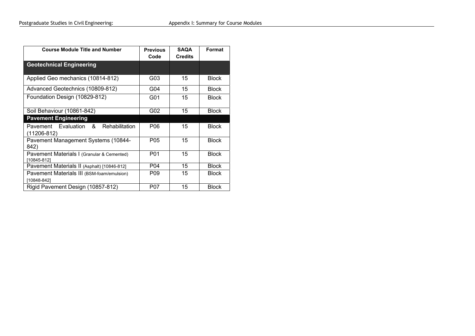| <b>Course Module Title and Number</b>                     | <b>Previous</b><br>Code | <b>SAQA</b><br><b>Credits</b> | Format       |
|-----------------------------------------------------------|-------------------------|-------------------------------|--------------|
| <b>Geotechnical Engineering</b>                           |                         |                               |              |
| Applied Geo mechanics (10814-812)                         | G03                     | 15                            | <b>Block</b> |
| Advanced Geotechnics (10809-812)                          | G04                     | 15                            | <b>Block</b> |
| Foundation Design (10829-812)                             | G01                     | 15                            | <b>Block</b> |
| Soil Behaviour (10861-842)                                | G02                     | 15                            | <b>Block</b> |
| <b>Pavement Engineering</b>                               |                         |                               |              |
| Pavement Evaluation &<br>Rehabilitation<br>(11206-812)    | P06                     | 15                            | <b>Block</b> |
| Pavement Management Systems (10844-<br>842)               | P05                     | 15                            | <b>Block</b> |
| Pavement Materials I (Granular & Cemented)<br>[10845-812] | P01                     | 15                            | <b>Block</b> |
| Pavement Materials II (Asphalt) [10846-812]               | P04                     | 15                            | <b>Block</b> |
| Pavement Materials III (BSM-foam/emulsion)<br>[10848-842] | P <sub>09</sub>         | 15                            | <b>Block</b> |
| Rigid Pavement Design (10857-812)                         | P07                     | 15                            | <b>Block</b> |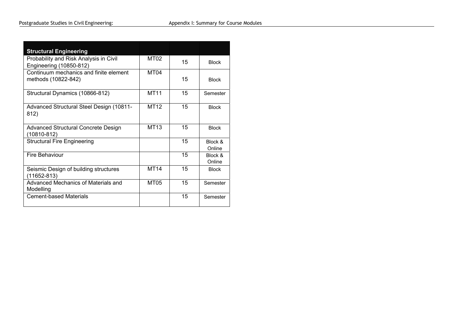| <b>Structural Engineering</b>                                     |             |    |                   |
|-------------------------------------------------------------------|-------------|----|-------------------|
| Probability and Risk Analysis in Civil<br>Engineering (10850-812) | MT02        | 15 | <b>Block</b>      |
| Continuum mechanics and finite element<br>methods (10822-842)     | MT04        | 15 | <b>Block</b>      |
| Structural Dynamics (10866-812)                                   | <b>MT11</b> | 15 | Semester          |
| Advanced Structural Steel Design (10811-<br>812)                  | <b>MT12</b> | 15 | <b>Block</b>      |
| Advanced Structural Concrete Design<br>(10810-812)                | <b>MT13</b> | 15 | <b>Block</b>      |
| <b>Structural Fire Engineering</b>                                |             | 15 | Block &<br>Online |
| <b>Fire Behaviour</b>                                             |             | 15 | Block &<br>Online |
| Seismic Design of building structures<br>(11652-813)              | <b>MT14</b> | 15 | <b>Block</b>      |
| Advanced Mechanics of Materials and<br>Modelling                  | MT05        | 15 | Semester          |
| <b>Cement-based Materials</b>                                     |             | 15 | Semester          |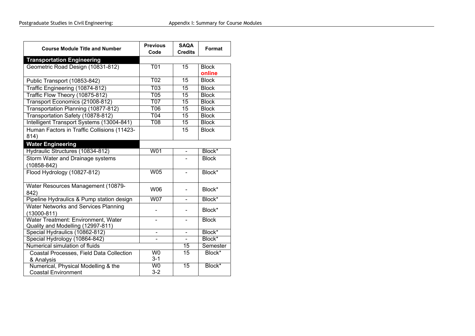| <b>Course Module Title and Number</b>                               | <b>Previous</b><br>Code | <b>SAQA</b><br><b>Credits</b> | Format             |
|---------------------------------------------------------------------|-------------------------|-------------------------------|--------------------|
| <b>Transportation Engineering</b>                                   |                         |                               |                    |
| Geometric Road Design (10831-812)                                   | <b>T01</b>              | 15                            | <b>Block</b>       |
|                                                                     |                         |                               | online             |
| Public Transport (10853-842)                                        | <b>T02</b>              | 15                            | <b>Block</b>       |
| Traffic Engineering (10874-812)                                     | $\overline{103}$        | 15                            | <b>Block</b>       |
| Traffic Flow Theory (10875-812)                                     | $\overline{705}$        | $\overline{15}$               | <b>Block</b>       |
| Transport Economics (21008-812)                                     | <b>T07</b>              | 15                            | <b>Block</b>       |
| Transportation Planning (10877-812)                                 | T06                     | 15                            | <b>Block</b>       |
| Transportation Safety (10878-812)                                   | T <sub>04</sub>         | 15                            | <b>Block</b>       |
| Intelligent Transport Systems (13004-841)                           | $\overline{708}$        | $\overline{15}$               | <b>Block</b>       |
| Human Factors in Traffic Collisions (11423-                         |                         | 15                            | <b>Block</b>       |
| 814)                                                                |                         |                               |                    |
| <b>Water Engineering</b>                                            |                         |                               |                    |
| Hydraulic Structures (10834-812)                                    | W01                     |                               | Block*             |
| Storm Water and Drainage systems                                    |                         |                               | <b>Block</b>       |
| $(10858 - 842)$                                                     |                         |                               |                    |
| Flood Hydrology (10827-812)                                         | <b>W05</b>              |                               | Block*             |
|                                                                     |                         |                               |                    |
| Water Resources Management (10879-                                  | W06                     |                               | Block*             |
| 842)                                                                |                         |                               |                    |
| Pipeline Hydraulics & Pump station design                           | <b>W07</b>              | $\blacksquare$                | Block*             |
| <b>Water Networks and Services Planning</b>                         |                         |                               | Block*             |
| $(13000 - 811)$                                                     |                         |                               |                    |
| Water Treatment: Environment, Water                                 |                         |                               | <b>Block</b>       |
| Quality and Modelling (12997-811)<br>Special Hydraulics (10862-812) | $\blacksquare$          | $\overline{\phantom{a}}$      | Block <sup>*</sup> |
| Special Hydrology (10864-842)                                       |                         |                               | Block*             |
| Numerical simulation of fluids                                      |                         | 15                            | Semester           |
|                                                                     | W <sub>0</sub>          | $\overline{15}$               | Block*             |
| Coastal Processes, Field Data Collection<br>& Analysis              | $3 - 1$                 |                               |                    |
| Numerical, Physical Modelling & the                                 | $\overline{W}$          | $\overline{15}$               | Block*             |
| <b>Coastal Environment</b>                                          | $3 - 2$                 |                               |                    |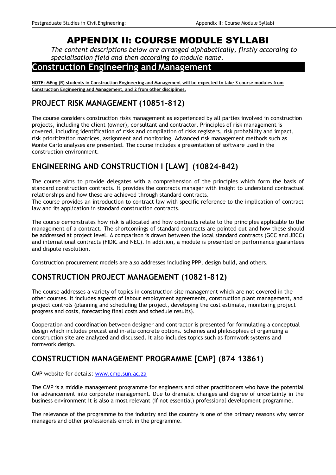## APPENDIX II: COURSE MODULE SYLLABI

*The content descriptions below are arranged alphabetically, firstly according to specialisation field and then according to module name.* 

### **Construction Engineering and Management**

**NOTE: MEng (R) students in Construction Engineering and Management will be expected to take 3 course modules from Construction Engineering and Management, and 2 from other disciplines.** 

### **PROJECT RISK MANAGEMENT (10851-812)**

The course considers construction risks management as experienced by all parties involved in construction projects, including the client (owner), consultant and contractor. Principles of risk management is covered, including identification of risks and compilation of risks registers, risk probability and impact, risk prioritization matrices, assignment and monitoring. Advanced risk management methods such as Monte Carlo analyses are presented. The course includes a presentation of software used in the construction environment.

### **ENGINEERING AND CONSTRUCTION I [LAW] (10824-842)**

The course aims to provide delegates with a comprehension of the principles which form the basis of standard construction contracts. It provides the contracts manager with insight to understand contractual relationships and how these are achieved through standard contracts.

The course provides an introduction to contract law with specific reference to the implication of contract law and its application in standard construction contracts.

The course demonstrates how risk is allocated and how contracts relate to the principles applicable to the management of a contract. The shortcomings of standard contracts are pointed out and how these should be addressed at project level. A comparison is drawn between the local standard contracts (GCC and JBCC) and international contracts (FIDIC and NEC). In addition, a module is presented on performance guarantees and dispute resolution.

Construction procurement models are also addresses including PPP, design build, and others.

### **CONSTRUCTION PROJECT MANAGEMENT (10821-812)**

The course addresses a variety of topics in construction site management which are not covered in the other courses. It includes aspects of labour employment agreements, construction plant management, and project controls (planning and scheduling the project, developing the cost estimate, monitoring project progress and costs, forecasting final costs and schedule results).

Cooperation and coordination between designer and contractor is presented for formulating a conceptual design which includes precast and in-situ concrete options. Schemes and philosophies of organizing a construction site are analyzed and discussed. It also includes topics such as formwork systems and formwork design.

### **CONSTRUCTION MANAGEMENT PROGRAMME [CMP] (874 13861)**

CMP website for details: www.cmp.sun.ac.za

The CMP is a middle management programme for engineers and other practitioners who have the potential for advancement into corporate management. Due to dramatic changes and degree of uncertainty in the business environment it is also a most relevant (if not essential) professional development programme.

The relevance of the programme to the industry and the country is one of the primary reasons why senior managers and other professionals enroll in the programme.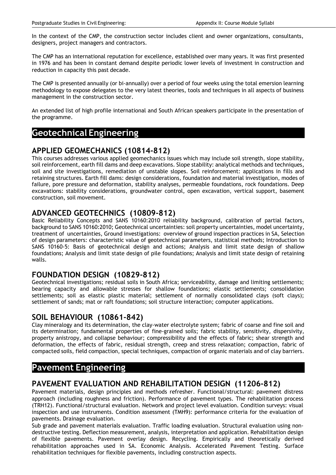In the context of the CMP, the construction sector includes client and owner organizations, consultants, designers, project managers and contractors.

The CMP has an international reputation for excellence, established over many years. It was first presented in 1976 and has been in constant demand despite periodic lower levels of investment in construction and reduction in capacity this past decade.

The CMP is presented annually (or bi-annually) over a period of four weeks using the total emersion learning methodology to expose delegates to the very latest theories, tools and techniques in all aspects of business management in the construction sector.

An extended list of high profile international and South African speakers participate in the presentation of the programme.

#### **Geotechnical Engineering**

#### **APPLIED GEOMECHANICS (10814-812)**

This courses addresses various applied geomechanics issues which may include soil strength, slope stability, soil reinforcement, earth fill dams and deep excavations. Slope stability: analytical methods and techniques, soil and site investigations, remediation of unstable slopes. Soil reinforcement: applications in fills and retaining structures. Earth fill dams: design considerations, foundation and material investigation, modes of failure, pore pressure and deformation, stability analyses, permeable foundations, rock foundations. Deep excavations: stability considerations, groundwater control, open excavation, vertical support, basement construction, soil movement.

#### **ADVANCED GEOTECHNICS (10809-812)**

Basic Reliability Concepts and SANS 10160:2010 reliability background, calibration of partial factors, background to SANS 10160:2010; Geotechnical uncertainties: soil property uncertainties, model uncertainty, treatment of uncertainties, Ground investigations: overview of ground inspection practices in SA, Selection of design parameters: characteristic value of geotechnical parameters, statistical methods; Introduction to SANS 10160-5: Basis of geotechnical design and actions; Analysis and limit state design of shallow foundations; Analysis and limit state design of pile foundations; Analysis and limit state design of retaining walls.

#### **FOUNDATION DESIGN (10829-812)**

Geotechnical investigations; residual soils in South Africa; serviceability, damage and limiting settlements; bearing capacity and allowable stresses for shallow foundations; elastic settlements; consolidation settlements; soil as elastic plastic material; settlement of normally consolidated clays (soft clays); settlement of sands; mat or raft foundations; soil structure interaction; computer applications.

#### **SOIL BEHAVIOUR (10861-842)**

Clay mineralogy and its determination, the clay-water electrolyte system; fabric of coarse and fine soil and its determination; fundamental properties of fine-grained soils; fabric stability, sensitivity, dispersivity, property anistropy, and collapse behaviour; compressibility and the effects of fabric; shear strength and deformation, the effects of fabric, residual strength, creep and stress relaxation; compaction, fabric of compacted soils, field compaction, special techniques, compaction of organic materials and of clay barriers.

### **Pavement Engineering**

#### **PAVEMENT EVALUATION AND REHABILITATION DESIGN (11206-812)**

Pavement materials, design principles and methods refresher. Functional/structural: pavement distress approach (including roughness and friction). Performance of pavement types. The rehabilitation process (TRH12). Functional/structural evaluation. Network and project level evaluation. Condition surveys: visual inspection and use instruments. Condition assessment (TMH9): performance criteria for the evaluation of pavements. Drainage evaluation.

Sub grade and pavement materials evaluation. Traffic loading evaluation. Structural evaluation using nondestructive testing. Deflection measurement, analysis, interpretation and application. Rehabilitation design of flexible pavements. Pavement overlay design. Recycling. Empirically and theoretically derived rehabilitation approaches used in SA. Economic Analysis. Accelerated Pavement Testing. Surface rehabilitation techniques for flexible pavements, including construction aspects.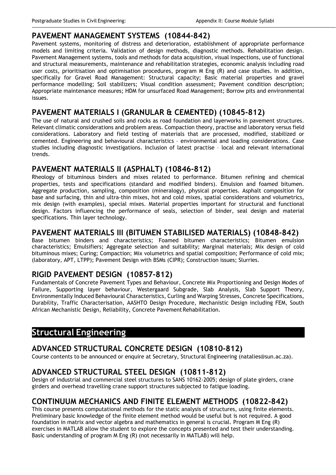#### **PAVEMENT MANAGEMENT SYSTEMS (10844-842)**

Pavement systems, monitoring of distress and deterioration, establishment of appropriate performance models and limiting criteria. Validation of design methods, diagnostic methods. Rehabilitation design. Pavement Management systems, tools and methods for data acquisition, visual inspections, use of functional and structural measurements, maintenance and rehabilitation strategies, economic analysis including road user costs, prioritisation and optimisation procedures, program M Eng (R) and case studies. In addition, specifically for Gravel Road Management: Structural capacity; Basic material properties and gravel performance modelling; Soil stabilizers; Visual condition assessment; Pavement condition description; Appropriate maintenance measures; HDM for unsurfaced Road Management; Borrow pits and environmental issues.

#### **PAVEMENT MATERIALS I (GRANULAR & CEMENTED) (10845-812)**

The use of natural and crushed soils and rocks as road foundation and layerworks in pavement structures. Relevant climatic considerations and problem areas. Compaction theory, practise and laboratory versus field considerations. Laboratory and field testing of materials that are processed, modified, stabilized or cemented. Engineering and behavioural characteristics – environmental and loading considerations. Case studies including diagnostic investigations. Inclusion of latest practise – local and relevant international trends.

#### **PAVEMENT MATERIALS II (ASPHALT) (10846-812)**

Rheology of bituminous binders and mixes related to performance. Bitumen refining and chemical properties, tests and specifications (standard and modified binders). Emulsion and foamed bitumen. Aggregate production, sampling, composition (mineralogy), physical properties. Asphalt composition for base and surfacing, thin and ultra-thin mixes, hot and cold mixes, spatial considerations and volumetrics, mix design (with examples), special mixes. Material properties important for structural and functional design. Factors influencing the performance of seals, selection of binder, seal design and material specifications. Thin layer technology.

#### **PAVEMENT MATERIALS III (BITUMEN STABILISED MATERIALS) (10848-842)**

Base bitumen binders and characteristics; Foamed bitumen characteristics; Bitumen emulsion characteristics; Emulsifiers; Aggregate selection and suitability; Marginal materials; Mix design of cold bituminous mixes; Curing; Compaction; Mix volumetrics and spatial composition; Performance of cold mix; (laboratory, APT, LTPP); Pavement Design with BSMs (CIPR); Construction issues; Slurries.

#### **RIGID PAVEMENT DESIGN (10857-812)**

Fundamentals of Concrete Pavement Types and Behaviour, Concrete Mix Proportioning and Design Modes of Failure, Supporting layer behaviour, Westergaard Subgrade, Slab Analysis, Slab Support Theory, Environmentally Induced Behavioural Characteristics, Curling and Warping Stresses, Concrete Specifications, Durability, Traffic Characterisation, AASHTO Design Procedure, Mechanistic Design including FEM, South African Mechanistic Design, Reliability, Concrete Pavement Rehabilitation.

### **Structural Engineering**

#### **ADVANCED STRUCTURAL CONCRETE DESIGN (10810-812)**

Course contents to be announced or enquire at Secretary, Structural Engineering (natalies@sun.ac.za).

#### **ADVANCED STRUCTURAL STEEL DESIGN (10811-812)**

Design of industrial and commercial steel structures to SANS 10162-2005; design of plate girders, crane girders and overhead travelling crane support structures subjected to fatigue loading.

#### **CONTINUUM MECHANICS AND FINITE ELEMENT METHODS (10822-842)**

This course presents computational methods for the static analysis of structures, using finite elements. Preliminary basic knowledge of the finite element method would be useful but is not required. A good foundation in matrix and vector algebra and mathematics in general is crucial. Program M Eng (R) exercises in MATLAB allow the student to explore the concepts presented and test their understanding. Basic understanding of program M Eng (R) (not necessarily in MATLAB) will help.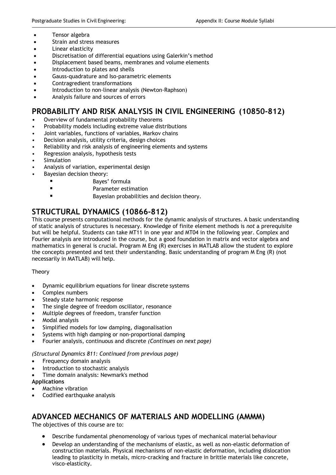- Tensor algebra
- Strain and stress measures
- Linear elasticity
- Discretisation of differential equations using Galerkin's method
- Displacement based beams, membranes and volume elements
- Introduction to plates and shells
- Gauss-quadrature and Iso-parametric elements
- Contragredient transformations
- Introduction to non-linear analysis (Newton-Raphson)
- Analysis failure and sources of errors

#### **PROBABILITY AND RISK ANALYSIS IN CIVIL ENGINEERING (10850-812)**

- Overview of fundamental probability theorems
- Probability models including extreme value distributions
- Joint variables, functions of variables, Markov chains
- Decision analysis, utility criteria, design choices
- Reliability and risk analysis of engineering elements and systems
- Regression analysis, hypothesis tests
- **Simulation**
- Analysis of variation, experimental design
- Bayesian decision theory:
	- Bayes' formula
	- Parameter estimation
	- Bayesian probabilities and decision theory.

### **STRUCTURAL DYNAMICS (10866-812)**

This course presents computational methods for the dynamic analysis of structures. A basic understanding of static analysis of structures is necessary. Knowledge of finite element methods is *not* a prerequisite but will be helpful. Students can take MT11 in one year and MT04 in the following year. Complex and Fourier analysis are introduced in the course, but a good foundation in matrix and vector algebra and mathematics in general is crucial. Program M Eng (R) exercises in MATLAB allow the student to explore the concepts presented and test their understanding. Basic understanding of program M Eng (R) (not necessarily in MATLAB) will help.

#### **Theory**

- Dynamic equilibrium equations for linear discrete systems
- Complex numbers
- Steady state harmonic response
- The single degree of freedom oscillator, resonance
- Multiple degrees of freedom, transfer function
- Modal analysis
- Simplified models for low damping, diagonalisation
- Systems with high damping or non-proportional damping
- Fourier analysis, continuous and discrete *(Continues on next page)*

#### *(Structural Dynamics 811: Continued from previous page)*

- Frequency domain analysis
- Introduction to stochastic analysis
- Time domain analysis: Newmark's method

#### **Applications**

- Machine vibration
- Codified earthquake analysis

#### **ADVANCED MECHANICS OF MATERIALS AND MODELLING (AMMM)**

The objectives of this course are to:

- Describe fundamental phenomenology of various types of mechanical material behaviour
- Develop an understanding of the mechanisms of elastic, as well as non-elastic deformation of construction materials. Physical mechanisms of non-elastic deformation, including dislocation leading to plasticity in metals, micro-cracking and fracture in brittle materials like concrete, visco-elasticity.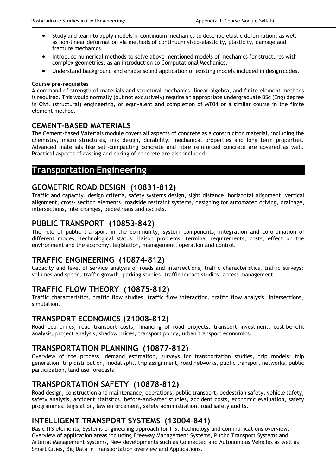- Study and learn to apply models in continuum mechanics to describe elastic deformation, as well as non-linear deformation via methods of continuum visco-elasticity, plasticity, damage and fracture mechanics.
- Introduce numerical methods to solve above mentioned models of mechanics for structures with complex geometries, as an introduction to Computational Mechanics.
- Understand background and enable sound application of existing models included in design codes.

#### **Course pre-requisites**

A command of strength of materials and structural mechanics, linear algebra, and finite element methods is required. This would normally (but not exclusively) require an appropriate undergraduate BSc (Eng) degree in Civil (structural) engineering, or equivalent and completion of MT04 or a similar course in the finite element method.

#### **CEMENT-BASED MATERIALS**

The Cement-based Materials module covers all aspects of concrete as a construction material, including the chemistry, micro structures, mix design, durability, mechanical properties and long term properties. Advanced materials like self-compacting concrete and fibre reinforced concrete are covered as well. Practical aspects of casting and curing of concrete are also included.

#### **Transportation Engineering**

#### **GEOMETRIC ROAD DESIGN (10831-812)**

Traffic and capacity, design criteria, safety systems design, sight distance, horizontal alignment, vertical alignment, cross- section elements, roadside restraint systems, designing for automated driving, drainage, intersections, interchanges, pedestrians and cyclists.

#### **PUBLIC TRANSPORT (10853-842)**

The role of public transport in the community, system components, integration and co-ordination of different modes, technological status, liaison problems, terminal requirements, costs, effect on the environment and the economy, legislation, management, operation and control.

#### **TRAFFIC ENGINEERING (10874-812)**

Capacity and level of service analysis of roads and intersections, traffic characteristics, traffic surveys: volumes and speed, traffic growth, parking studies, traffic impact studies, access management.

#### **TRAFFIC FLOW THEORY (10875-812)**

Traffic characteristics, traffic flow studies, traffic flow interaction, traffic flow analysis, intersections, simulation.

#### **TRANSPORT ECONOMICS (21008-812)**

Road economics, road transport costs, financing of road projects, transport investment, cost-benefit analysis, project analysis, shadow prices, transport policy, urban transport economics.

#### **TRANSPORTATION PLANNING (10877-812)**

Overview of the process, demand estimation, surveys for transportation studies, trip models: trip generation, trip distribution, modal split, trip assignment, road networks, public transport networks, public participation, land use forecasts.

#### **TRANSPORTATION SAFETY (10878-812)**

Road design, construction and maintenance, operations, public transport, pedestrian safety, vehicle safety, safety analysis, accident statistics, before-and-after studies, accident costs, economic evaluation, safety programmes, legislation, law enforcement, safety administration, road safety audits.

#### **INTELLIGENT TRANSPORT SYSTEMS (13004-841)**

Basic ITS elements, Systems engineering approach for ITS, Technology and communications overview, Overview of application areas including Freeway Management Systems, Public Transport Systems and Arterial Management Systems, New developments such as Connected and Autonomous Vehicles as well as Smart Cities, Big Data in Transportation overview and Applications.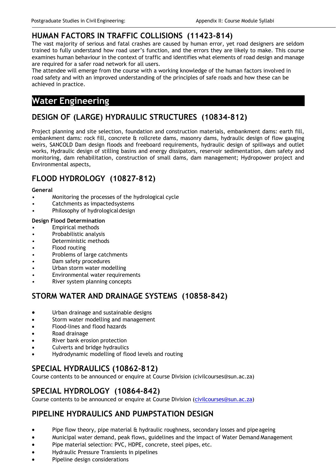#### **HUMAN FACTORS IN TRAFFIC COLLISIONS (11423-814)**

The vast majority of serious and fatal crashes are caused by human error, yet road designers are seldom trained to fully understand how road user's function, and the errors they are likely to make. This course examines human behaviour in the context of traffic and identifies what elements of road design and manage are required for a safer road network for all users.

The attendee will emerge from the course with a working knowledge of the human factors involved in road safety and with an improved understanding of the principles of safe roads and how these can be achieved in practice.

### **Water Engineering**

### **DESIGN OF (LARGE) HYDRAULIC STRUCTURES (10834-812)**

Project planning and site selection, foundation and construction materials, embankment dams: earth fill, embankment dams: rock fill, concrete & rollcrete dams, masonry dams, hydraulic design of flow gauging weirs, SANCOLD Dam design floods and freeboard requirements, hydraulic design of spillways and outlet works, Hydraulic design of stilling basins and energy dissipators, reservoir sedimentation, dam safety and monitoring, dam rehabilitation, construction of small dams, dam management; Hydropower project and Environmental aspects,

### **FLOOD HYDROLOGY (10827-812)**

#### **General**

- Monitoring the processes of the hydrological cycle
- Catchments as impacted systems
- Philosophy of hydrological design

#### **Design Flood Determination**

- Empirical methods
- Probabilistic analysis
- Deterministic methods
- Flood routing
- Problems of large catchments
- Dam safety procedures
- Urban storm water modelling
- Environmental water requirements
- River system planning concepts

#### **STORM WATER AND DRAINAGE SYSTEMS (10858-842)**

- Urban drainage and sustainable designs
- Storm water modelling and management
- Flood-lines and flood hazards
- Road drainage
- River bank erosion protection
- Culverts and bridge hydraulics
- Hydrodynamic modelling of flood levels and routing

#### **SPECIAL HYDRAULICS (10862-812)**

Course contents to be announced or enquire at Course Division (civilcourses@sun.ac.za)

#### **SPECIAL HYDROLOGY (10864-842)**

Course contents to be announced or enquire at Course Division (civilcourses@sun.ac.za)

#### **PIPELINE HYDRAULICS AND PUMPSTATION DESIGN**

- Pipe flow theory, pipe material & hydraulic roughness, secondary losses and pipe ageing
- Municipal water demand, peak flows, guidelines and the impact of Water Demand Management
- Pipe material selection: PVC, HDPE, concrete, steel pipes, etc.
- Hydraulic Pressure Transients in pipelines
- Pipeline design considerations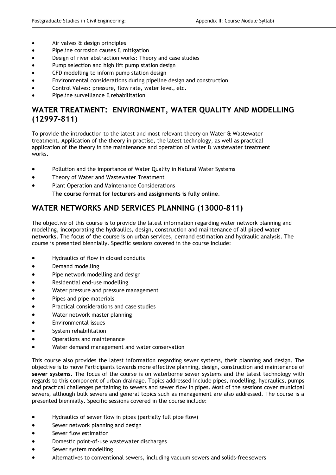- Air valves & design principles
- Pipeline corrosion causes & mitigation
- Design of river abstraction works: Theory and case studies
- Pump selection and high lift pump station design
- CFD modelling to inform pump station design
- Environmental considerations during pipeline design and construction
- Control Valves: pressure, flow rate, water level, etc.
- Pipeline surveillance & rehabilitation

#### **WATER TREATMENT: ENVIRONMENT, WATER QUALITY AND MODELLING (12997-811)**

To provide the introduction to the latest and most relevant theory on Water & Wastewater treatment. Application of the theory in practise, the latest technology, as well as practical application of the theory in the maintenance and operation of water & wastewater treatment works.

- Pollution and the importance of Water Quality in Natural Water Systems
- Theory of Water and Wastewater Treatment
- Plant Operation and Maintenance Considerations T**he course format for lecturers and assignments is fully online**.

### **WATER NETWORKS AND SERVICES PLANNING (13000-811)**

The objective of this course is to provide the latest information regarding water network planning and modelling, incorporating the hydraulics, design, construction and maintenance of all **piped water networks.** The focus of the course is on urban services, demand estimation and hydraulic analysis. The course is presented biennially. Specific sessions covered in the course include:

- Hydraulics of flow in closed conduits
- Demand modelling
- Pipe network modelling and design
- Residential end-use modelling
- Water pressure and pressure management
- Pipes and pipe materials
- Practical considerations and case studies
- Water network master planning
- Environmental issues
- System rehabilitation
- Operations and maintenance
- Water demand management and water conservation

This course also provides the latest information regarding sewer systems, their planning and design. The objective is to move Participants towards more effective planning, design, construction and maintenance of **sewer systems.** The focus of the course is on waterborne sewer systems and the latest technology with regards to this component of urban drainage. Topics addressed include pipes, modelling, hydraulics, pumps and practical challenges pertaining to sewers and sewer flow in pipes. Most of the sessions cover municipal sewers, although bulk sewers and general topics such as management are also addressed. The course is a presented biennially. Specific sessions covered in the course include:

- Hydraulics of sewer flow in pipes (partially full pipe flow)
- Sewer network planning and design
- Sewer flow estimation
- Domestic point-of-use wastewater discharges
- Sewer system modelling
- Alternatives to conventional sewers, including vacuum sewers and solids-free sewers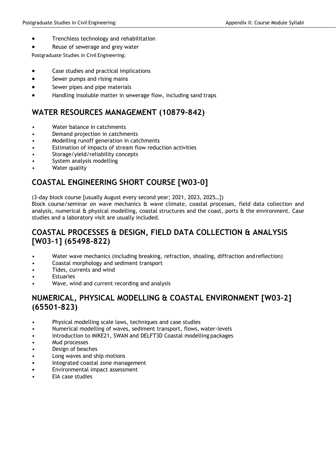- Trenchless technology and rehabilitation
- Reuse of sewerage and grey water

Postgraduate Studies in Civil Engineering:

- Case studies and practical implications
- Sewer pumps and rising mains
- Sewer pipes and pipe materials
- Handling insoluble matter in sewerage flow, including sand traps

#### **WATER RESOURCES MANAGEMENT (10879-842)**

- Water balance in catchments
- Demand projection in catchments
- Modelling runoff generation in catchments
- Estimation of impacts of stream flow reduction activities
- Storage/yield/reliability concepts
- System analysis modelling
- Water quality

#### **COASTAL ENGINEERING SHORT COURSE [W03-0]**

(3-day block course [usually August every second year; 2021, 2023, 2025…])

Block course/seminar on wave mechanics & wave climate, coastal processes, field data collection and analysis, numerical & physical modelling, coastal structures and the coast, ports & the environment. Case studies and a laboratory visit are usually included.

#### **COASTAL PROCESSES & DESIGN, FIELD DATA COLLECTION & ANALYSIS [W03-1] (65498-822)**

- Water wave mechanics (including breaking, refraction, shoaling, diffraction and reflection)
- Coastal morphology and sediment transport
- Tides, currents and wind
- **Estuaries**
- Wave, wind and current recording and analysis

#### **NUMERICAL, PHYSICAL MODELLING & COASTAL ENVIRONMENT [W03-2] (65501-823)**

- Physical modelling scale laws, techniques and case studies
- Numerical modelling of waves, sediment transport, flows, water-levels
- Introduction to MIKE21, SWAN and DELFT3D Coastal modelling packages
- Mud processes
- Design of beaches
- Long waves and ship motions
- Integrated coastal zone management
- Environmental impact assessment
- EIA case studies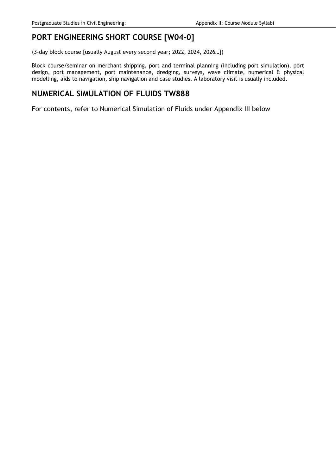### **PORT ENGINEERING SHORT COURSE [W04-0]**

(3-day block course [usually August every second year; 2022, 2024, 2026…])

Block course/seminar on merchant shipping, port and terminal planning (including port simulation), port design, port management, port maintenance, dredging, surveys, wave climate, numerical & physical modelling, aids to navigation, ship navigation and case studies. A laboratory visit is usually included.

#### **NUMERICAL SIMULATION OF FLUIDS TW888**

For contents, refer to Numerical Simulation of Fluids under Appendix III below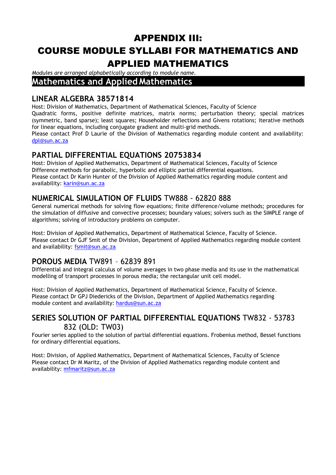## APPENDIX III: COURSE MODULE SYLLABI FOR MATHEMATICS AND APPLIED MATHEMATICS

*Modules are arranged alphabetically according to module name.*  **Mathematics and Applied Mathematics** 

#### **LINEAR ALGEBRA 38571814**

Host: Division of Mathematics, Department of Mathematical Sciences, Faculty of Science Quadratic forms, positive definite matrices, matrix norms; perturbation theory; special matrices (symmetric, band sparse); least squares; Householder reflections and Givens rotations; iterative methods for linear equations, including conjugate gradient and multi-grid methods.

Please contact Prof D Laurie of the Division of Mathematics regarding module content and availability: dpl@sun.ac.za

### **PARTIAL DIFFERENTIAL EQUATIONS 20753834**

Host: Division of Applied Mathematics, Department of Mathematical Sciences, Faculty of Science Difference methods for parabolic, hyperbolic and elliptic partial differential equations. Please contact Dr Karin Hunter of the Division of Applied Mathematics regarding module content and availability: karin@sun.ac.za

### **NUMERICAL SIMULATION OF FLUIDS** TW888 - 62820 888

General numerical methods for solving flow equations; finite difference/volume methods; procedures for the simulation of diffusive and convective processes; boundary values; solvers such as the SIMPLE range of algorithms; solving of introductory problems on computer.

Host: Division of Applied Mathematics, Department of Mathematical Science, Faculty of Science. Please contact Dr GJF Smit of the Division, Department of Applied Mathematics regarding module content and availability: fsmit@sun.ac.za

### **POROUS MEDIA** TW891 – 62839 891

Differential and integral calculus of volume averages in two phase media and its use in the mathematical modelling of transport processes in porous media; the rectangular unit cell model.

Host: Division of Applied Mathematics, Department of Mathematical Science, Faculty of Science. Please contact Dr GPJ Diedericks of the Division, Department of Applied Mathematics regarding module content and availability: hardus@sun.ac.za

### **SERIES SOLUTION OF PARTIAL DIFFERENTIAL EQUATIONS** TW832 - 53783 832 (OLD: TW03)

Fourier series applied to the solution of partial differential equations. Frobenius method, Bessel functions for ordinary differential equations.

Host: Division, of Applied Mathematics, Department of Mathematical Sciences, Faculty of Science Please contact Dr M Maritz, of the Division of Applied Mathematics regarding module content and availability: mfmaritz@sun.ac.za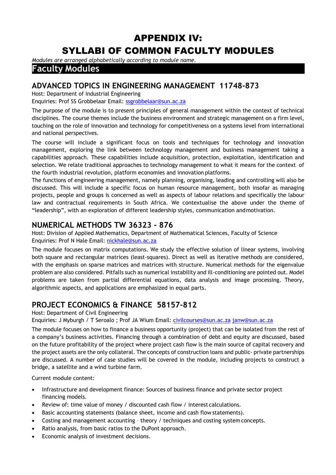### APPENDIX IV:

## SYLLABI OF COMMON FACULTY MODULES

*Modules are arranged alphabetically according to module name.* 

### **Faculty Modules**

#### **ADVANCED TOPICS IN ENGINEERING MANAGEMENT 11748-873**

Host: Department of Industrial Engineering

Enquiries: Prof SS Grobbelaar Email: ssgrobbelaar@sun.ac.za

The purpose of the module is to present principles of general management within the context of technical disciplines. The course themes include the business environment and strategic management on a firm level, touching on the role of innovation and technology for competitiveness on a systems level from international and national perspectives.

The course will include a significant focus on tools and techniques for technology and innovation management, exploring the link between technology management and business management taking a capabilities approach. These capabilities include acquisition, protection, exploitation, identification and selection. We relate traditional approaches to technology management to what it means for the context of the fourth industrial revolution, platform economies and innovation platforms.

The functions of engineering management, namely planning, organising, leading and controlling will also be discussed. This will include a specific focus on human resource management, both insofar as managing projects, people and groups is concerned as well as aspects of labour relations and specifically the labour law and contractual requirements in South Africa. We contextualise the above under the theme of "leadership", with an exploration of different leadership styles, communication and motivation.

#### **NUMERICAL METHODS TW 36323 - 876**

Host: Division of Applied Mathematics, Department of Mathematical Sciences, Faculty of Science Enquiries: Prof N Hale Email: nickhale@sun.ac.za

The module focuses on matrix computations. We study the effective solution of linear systems, involving both square and rectangular matrices (least-squares). Direct as well as iterative methods are considered, with the emphasis on sparse matrices and matrices with structure. Numerical methods for the eigenvalue problem are also considered. Pitfalls such as numerical instability and ill-conditioning are pointed out. Model problems are taken from partial differential equations, data analysis and image processing. Theory, algorithmic aspects, and applications are emphasized in equal parts.

#### **PROJECT ECONOMICS & FINANCE 58157-812**

Host: Department of Civil Engineering

Enquiries: J Myburgh / T Seroalo ; Prof JA Wium Email: civilcourses@sun.ac.za janw@sun.ac.za

The module focuses on how to finance a business opportunity (project) that can be isolated from the rest of a company's business activities. Financing through a combination of debt and equity are discussed, based on the future profitability of the project where project cash flow is the main source of capital recovery and the project assets are the only collateral. The concepts of construction loans and public- private partnerships are discussed. A number of case studies will be covered in the module, including projects to construct a bridge, a satellite and a wind turbine farm.

Current module content:

- Infrastructure and development finance: Sources of business finance and private sector project financing models.
- Review of: time value of money / discounted cash flow / interest calculations.
- Basic accounting statements (balance sheet, income and cash flow statements).
- Costing and management accounting theory / techniques and costing system concepts.
- Ratio analysis, from basic ratios to the DuPont approach.
- Economic analysis of investment decisions.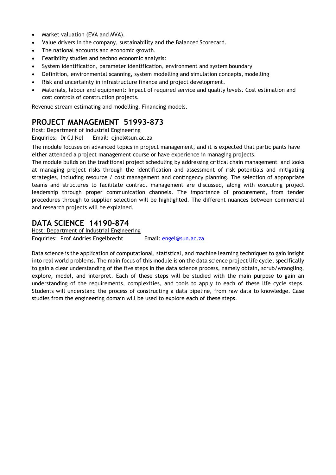- Market valuation (EVA and MVA).
- Value drivers in the company, sustainability and the Balanced Scorecard.
- The national accounts and economic growth.
- Feasibility studies and techno economic analysis:
- System identification, parameter identification, environment and system boundary
- Definition, environmental scanning, system modelling and simulation concepts, modelling
- Risk and uncertainty in infrastructure finance and project development.
- Materials, labour and equipment: Impact of required service and quality levels. Cost estimation and cost controls of construction projects.

Revenue stream estimating and modelling. Financing models.

#### **PROJECT MANAGEMENT 51993-873**

Host: Department of Industrial Engineering

Enquiries: Dr CJ Nel Email: cjnel@sun.ac.za

The module focuses on advanced topics in project management, and it is expected that participants have either attended a project management course or have experience in managing projects.

The module builds on the traditional project scheduling by addressing critical chain management and looks at managing project risks through the identification and assessment of risk potentials and mitigating strategies, including resource / cost management and contingency planning. The selection of appropriate teams and structures to facilitate contract management are discussed, along with executing project leadership through proper communication channels. The importance of procurement, from tender procedures through to supplier selection will be highlighted. The different nuances between commercial and research projects will be explained.

#### **DATA SCIENCE 14190-874**

Host: Department of Industrial Engineering Enquiries: Prof Andries Engelbrecht Email: engel@sun.ac.za

Data science is the application of computational, statistical, and machine learning techniques to gain insight into real world problems. The main focus of this module is on the data science project life cycle, specifically to gain a clear understanding of the five steps in the data science process, namely obtain, scrub/wrangling, explore, model, and interpret. Each of these steps will be studied with the main purpose to gain an understanding of the requirements, complexities, and tools to apply to each of these life cycle steps. Students will understand the process of constructing a data pipeline, from raw data to knowledge. Case studies from the engineering domain will be used to explore each of these steps.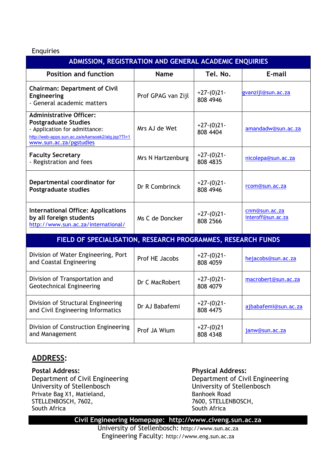#### Enquiries

| ADMISSION, REGISTRATION AND GENERAL ACADEMIC ENQUIRIES                                                                                                                        |                    |                          |                                     |  |  |  |
|-------------------------------------------------------------------------------------------------------------------------------------------------------------------------------|--------------------|--------------------------|-------------------------------------|--|--|--|
| <b>Position and function</b>                                                                                                                                                  | <b>Name</b>        | Tel. No.                 | E-mail                              |  |  |  |
| <b>Chairman: Department of Civil</b><br><b>Engineering</b><br>- General academic matters                                                                                      | Prof GPAG van Zijl | $+27-(0)21-$<br>808 4946 | gvanzijl@sun.ac.za                  |  |  |  |
| <b>Administrative Officer:</b><br><b>Postgraduate Studies</b><br>- Application for admittance:<br>http://web-apps.sun.ac.za/eAansoek2/alg.jsp?Tl=1<br>www.sun.ac.za/pgstudies | Mrs AJ de Wet      | $+27-(0)21-$<br>808 4404 | amandadw@sun.ac.za                  |  |  |  |
| <b>Faculty Secretary</b><br>- Registration and fees                                                                                                                           | Mrs N Hartzenburg  | $+27-(0)21-$<br>808 4835 | nicolepa@sun.ac.za                  |  |  |  |
| Departmental coordinator for<br><b>Postgraduate studies</b>                                                                                                                   | Dr R Combrinck     | $+27-(0)21-$<br>808 4946 | rcom@sun.ac.za                      |  |  |  |
| <b>International Office: Applications</b><br>by all foreign students<br>http://www.sun.ac.za/international/                                                                   | Ms C de Doncker    | $+27-(0)21-$<br>808 2566 | cnm@sun.ac.za<br>interoff@sun.ac.za |  |  |  |
| FIELD OF SPECIALISATION, RESEARCH PROGRAMMES, RESEARCH FUNDS                                                                                                                  |                    |                          |                                     |  |  |  |
| Division of Water Engineering, Port<br>and Coastal Engineering                                                                                                                | Prof HE Jacobs     | $+27-(0)21-$<br>808 4059 | hejacobs@sun.ac.za                  |  |  |  |
| Division of Transportation and<br><b>Geotechnical Engineering</b>                                                                                                             | Dr C MacRobert     | $+27-(0)21-$<br>808 4079 | macrobert@sun.ac.za                 |  |  |  |
| Division of Structural Engineering<br>and Civil Engineering Informatics                                                                                                       | Dr AJ Babafemi     | $+27-(0)21-$<br>808 4475 | ajbabafemi@sun.ac.za                |  |  |  |
| Division of Construction Engineering<br>and Management                                                                                                                        | Prof JA Wium       | $+27-(0)21$<br>808 4348  | janw@sun.ac.za                      |  |  |  |

#### **ADDRESS:**

**Postal Address: Physical Address:**  Department of Civil Engineering Department of Civil Engineering University of Stellenbosch University of Stellenbosch Private Bag X1, Matieland, Banhoek Road STELLENBOSCH, 7602, STELLENBOSCH, 7602, 7600, 7600, STELLENBOSCH, 7600, 7600, 750, 7600, 750, 7600, 750, 760, 760, 760, 760, 760, 8

South Africa

#### **Civil Engineering Homepage: http://www.civeng.sun.ac.za**

University of Stellenbosch: http://www.sun.ac.za Engineering Faculty: http://www.eng.sun.ac.za